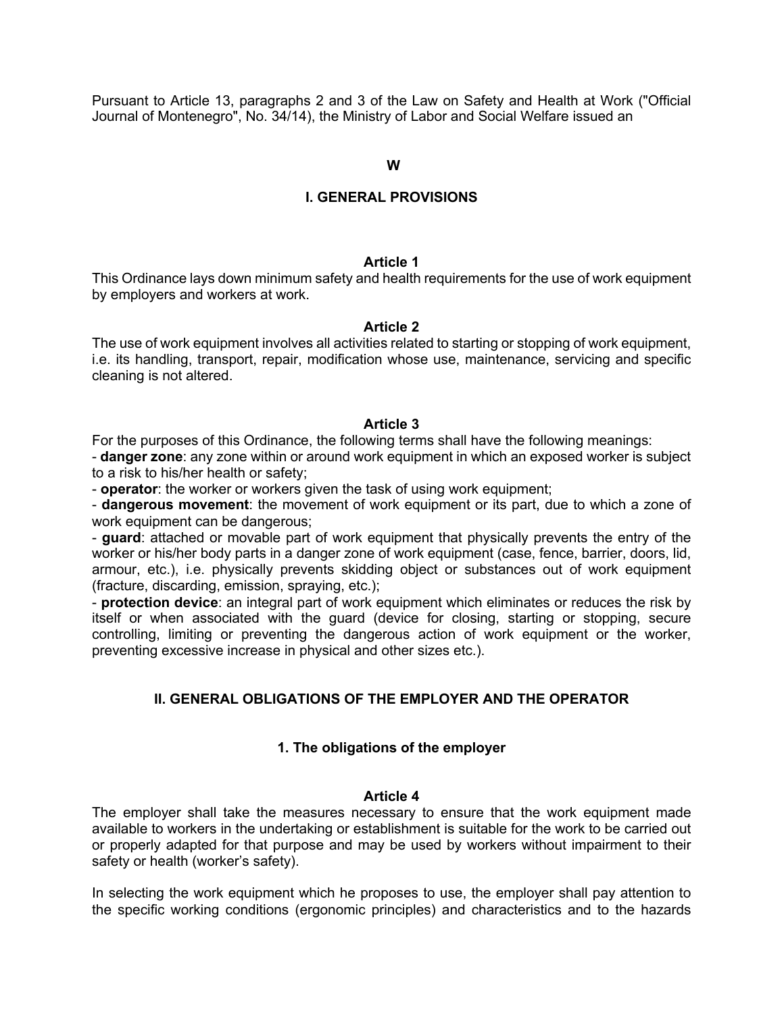Pursuant to Article 13, paragraphs 2 and 3 of the Law on Safety and Health at Work ("Official Journal of Montenegro", No. 34/14), the Ministry of Labor and Social Welfare issued an

#### **W**

## **I. GENERAL PROVISIONS**

#### **Article 1**

This Ordinance lays down minimum safety and health requirements for the use of work equipment by employers and workers at work.

#### **Article 2**

The use of work equipment involves all activities related to starting or stopping of work equipment, i.e. its handling, transport, repair, modification whose use, maintenance, servicing and specific cleaning is not altered.

#### **Article 3**

For the purposes of this Ordinance, the following terms shall have the following meanings:

- **danger zone**: any zone within or around work equipment in which an exposed worker is subject to a risk to his/her health or safety;

- **operator**: the worker or workers given the task of using work equipment;

- **dangerous movement**: the movement of work equipment or its part, due to which a zone of work equipment can be dangerous;

- **guard**: attached or movable part of work equipment that physically prevents the entry of the worker or his/her body parts in a danger zone of work equipment (case, fence, barrier, doors, lid, armour, etc.), i.e. physically prevents skidding object or substances out of work equipment (fracture, discarding, emission, spraying, etc.);

- **protection device**: an integral part of work equipment which eliminates or reduces the risk by itself or when associated with the guard (device for closing, starting or stopping, secure controlling, limiting or preventing the dangerous action of work equipment or the worker, preventing excessive increase in physical and other sizes etc.).

## **II. GENERAL OBLIGATIONS OF THE EMPLOYER AND THE OPERATOR**

#### **1. The obligations of the employer**

#### **Article 4**

The employer shall take the measures necessary to ensure that the work equipment made available to workers in the undertaking or establishment is suitable for the work to be carried out or properly adapted for that purpose and may be used by workers without impairment to their safety or health (worker's safety).

In selecting the work equipment which he proposes to use, the employer shall pay attention to the specific working conditions (ergonomic principles) and characteristics and to the hazards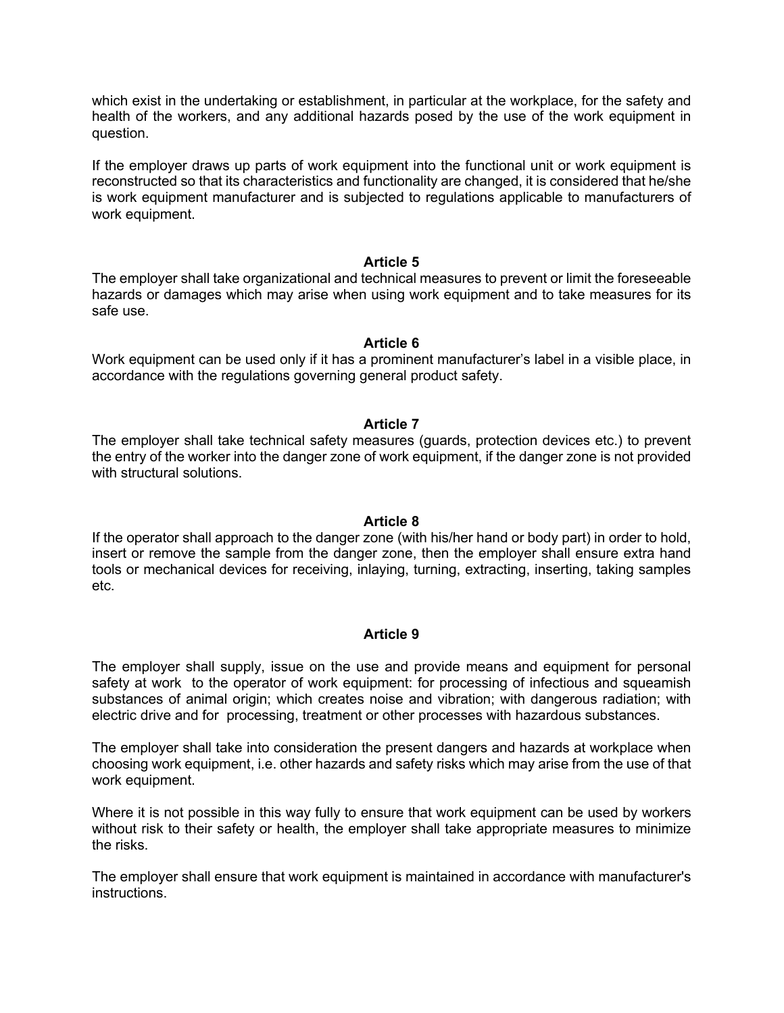which exist in the undertaking or establishment, in particular at the workplace, for the safety and health of the workers, and any additional hazards posed by the use of the work equipment in question.

If the employer draws up parts of work equipment into the functional unit or work equipment is reconstructed so that its characteristics and functionality are changed, it is considered that he/she is work equipment manufacturer and is subjected to regulations applicable to manufacturers of work equipment.

#### **Article 5**

The employer shall take organizational and technical measures to prevent or limit the foreseeable hazards or damages which may arise when using work equipment and to take measures for its safe use.

## **Article 6**

Work equipment can be used only if it has a prominent manufacturer's label in a visible place, in accordance with the regulations governing general product safety.

## **Article 7**

The employer shall take technical safety measures (guards, protection devices etc.) to prevent the entry of the worker into the danger zone of work equipment, if the danger zone is not provided with structural solutions.

## **Article 8**

If the operator shall approach to the danger zone (with his/her hand or body part) in order to hold, insert or remove the sample from the danger zone, then the employer shall ensure extra hand tools or mechanical devices for receiving, inlaying, turning, extracting, inserting, taking samples etc.

## **Article 9**

The employer shall supply, issue on the use and provide means and equipment for personal safety at work to the operator of work equipment: for processing of infectious and squeamish substances of animal origin; which creates noise and vibration; with dangerous radiation; with electric drive and for processing, treatment or other processes with hazardous substances.

The employer shall take into consideration the present dangers and hazards at workplace when choosing work equipment, i.e. other hazards and safety risks which may arise from the use of that work equipment.

Where it is not possible in this way fully to ensure that work equipment can be used by workers without risk to their safety or health, the employer shall take appropriate measures to minimize the risks.

The employer shall ensure that work equipment is maintained in accordance with manufacturer's instructions.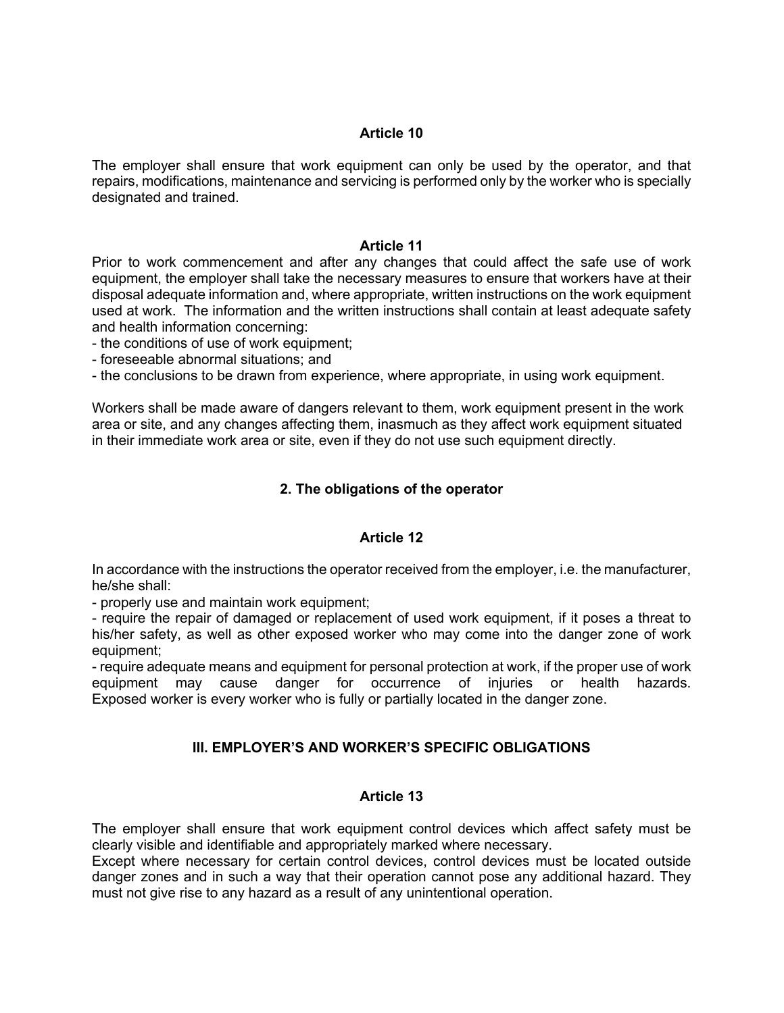The employer shall ensure that work equipment can only be used by the operator, and that repairs, modifications, maintenance and servicing is performed only by the worker who is specially designated and trained.

## **Article 11**

Prior to work commencement and after any changes that could affect the safe use of work equipment, the employer shall take the necessary measures to ensure that workers have at their disposal adequate information and, where appropriate, written instructions on the work equipment used at work. The information and the written instructions shall contain at least adequate safety and health information concerning:

- the conditions of use of work equipment;

- foreseeable abnormal situations; and

- the conclusions to be drawn from experience, where appropriate, in using work equipment.

Workers shall be made aware of dangers relevant to them, work equipment present in the work area or site, and any changes affecting them, inasmuch as they affect work equipment situated in their immediate work area or site, even if they do not use such equipment directly.

# **2. The obligations of the operator**

# **Article 12**

In accordance with the instructions the operator received from the employer, i.e. the manufacturer, he/she shall:

- properly use and maintain work equipment;

- require the repair of damaged or replacement of used work equipment, if it poses a threat to his/her safety, as well as other exposed worker who may come into the danger zone of work equipment;

- require adequate means and equipment for personal protection at work, if the proper use of work equipment may cause danger for occurrence of injuries or health hazards. Exposed worker is every worker who is fully or partially located in the danger zone.

# **III. EMPLOYER'S AND WORKER'S SPECIFIC OBLIGATIONS**

# **Article 13**

The employer shall ensure that work equipment control devices which affect safety must be clearly visible and identifiable and appropriately marked where necessary.

Except where necessary for certain control devices, control devices must be located outside danger zones and in such a way that their operation cannot pose any additional hazard. They must not give rise to any hazard as a result of any unintentional operation.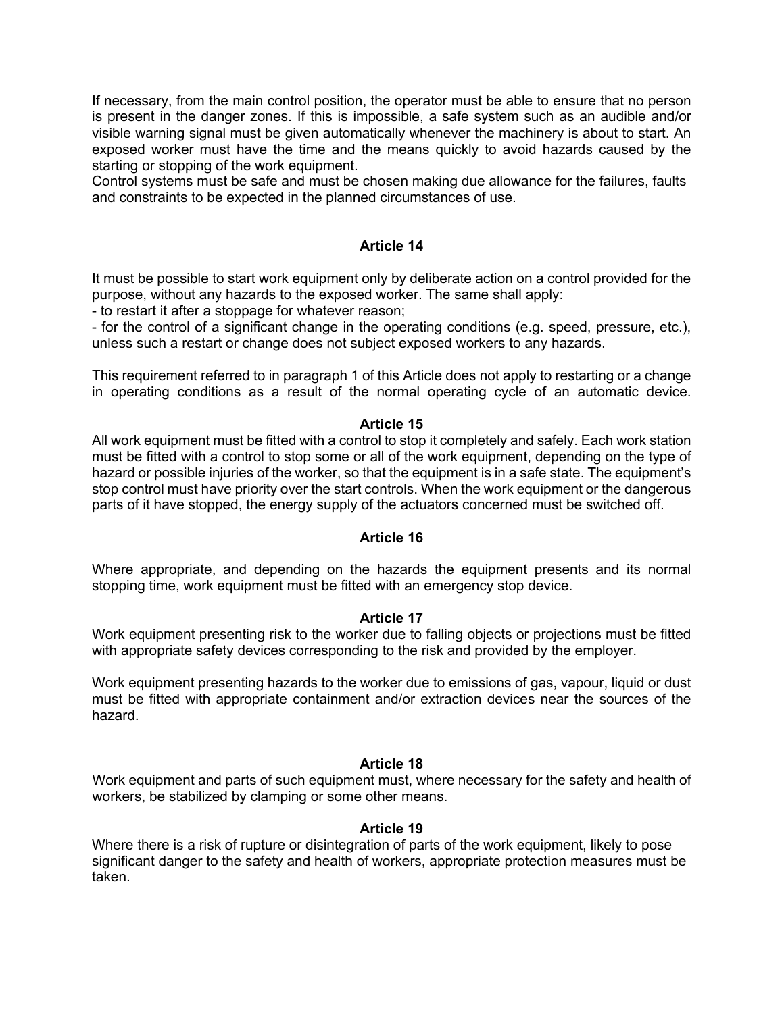If necessary, from the main control position, the operator must be able to ensure that no person is present in the danger zones. If this is impossible, a safe system such as an audible and/or visible warning signal must be given automatically whenever the machinery is about to start. An exposed worker must have the time and the means quickly to avoid hazards caused by the starting or stopping of the work equipment.

Control systems must be safe and must be chosen making due allowance for the failures, faults and constraints to be expected in the planned circumstances of use.

## **Article 14**

It must be possible to start work equipment only by deliberate action on a control provided for the purpose, without any hazards to the exposed worker. The same shall apply:

- to restart it after a stoppage for whatever reason;

- for the control of a significant change in the operating conditions (e.g. speed, pressure, etc.), unless such a restart or change does not subject exposed workers to any hazards.

This requirement referred to in paragraph 1 of this Article does not apply to restarting or a change in operating conditions as a result of the normal operating cycle of an automatic device.

#### **Article 15**

All work equipment must be fitted with a control to stop it completely and safely. Each work station must be fitted with a control to stop some or all of the work equipment, depending on the type of hazard or possible injuries of the worker, so that the equipment is in a safe state. The equipment's stop control must have priority over the start controls. When the work equipment or the dangerous parts of it have stopped, the energy supply of the actuators concerned must be switched off.

## **Article 16**

Where appropriate, and depending on the hazards the equipment presents and its normal stopping time, work equipment must be fitted with an emergency stop device.

## **Article 17**

Work equipment presenting risk to the worker due to falling objects or projections must be fitted with appropriate safety devices corresponding to the risk and provided by the employer.

Work equipment presenting hazards to the worker due to emissions of gas, vapour, liquid or dust must be fitted with appropriate containment and/or extraction devices near the sources of the hazard.

## **Article 18**

Work equipment and parts of such equipment must, where necessary for the safety and health of workers, be stabilized by clamping or some other means.

## **Article 19**

Where there is a risk of rupture or disintegration of parts of the work equipment, likely to pose significant danger to the safety and health of workers, appropriate protection measures must be taken.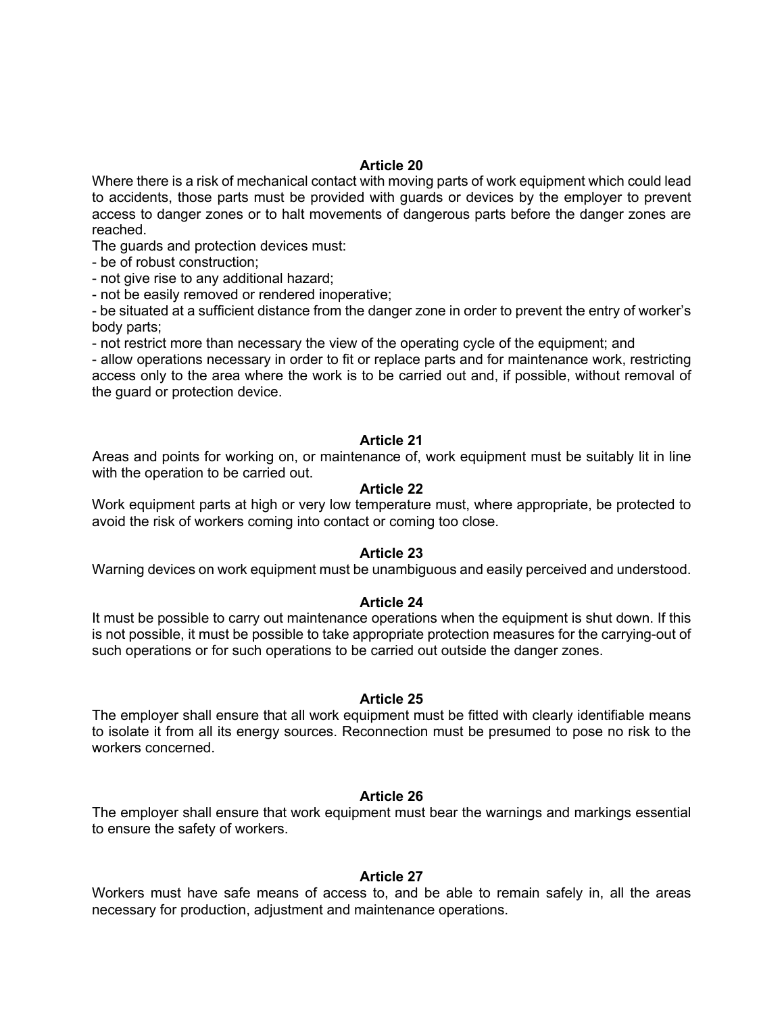Where there is a risk of mechanical contact with moving parts of work equipment which could lead to accidents, those parts must be provided with guards or devices by the employer to prevent access to danger zones or to halt movements of dangerous parts before the danger zones are reached.

The guards and protection devices must:

- be of robust construction;

- not give rise to any additional hazard;

- not be easily removed or rendered inoperative;

- be situated at a sufficient distance from the danger zone in order to prevent the entry of worker's body parts;

- not restrict more than necessary the view of the operating cycle of the equipment; and

- allow operations necessary in order to fit or replace parts and for maintenance work, restricting access only to the area where the work is to be carried out and, if possible, without removal of the guard or protection device.

#### **Article 21**

Areas and points for working on, or maintenance of, work equipment must be suitably lit in line with the operation to be carried out.

#### **Article 22**

Work equipment parts at high or very low temperature must, where appropriate, be protected to avoid the risk of workers coming into contact or coming too close.

## **Article 23**

Warning devices on work equipment must be unambiguous and easily perceived and understood.

#### **Article 24**

It must be possible to carry out maintenance operations when the equipment is shut down. If this is not possible, it must be possible to take appropriate protection measures for the carrying-out of such operations or for such operations to be carried out outside the danger zones.

#### **Article 25**

The employer shall ensure that all work equipment must be fitted with clearly identifiable means to isolate it from all its energy sources. Reconnection must be presumed to pose no risk to the workers concerned.

#### **Article 26**

The employer shall ensure that work equipment must bear the warnings and markings essential to ensure the safety of workers.

## **Article 27**

Workers must have safe means of access to, and be able to remain safely in, all the areas necessary for production, adjustment and maintenance operations.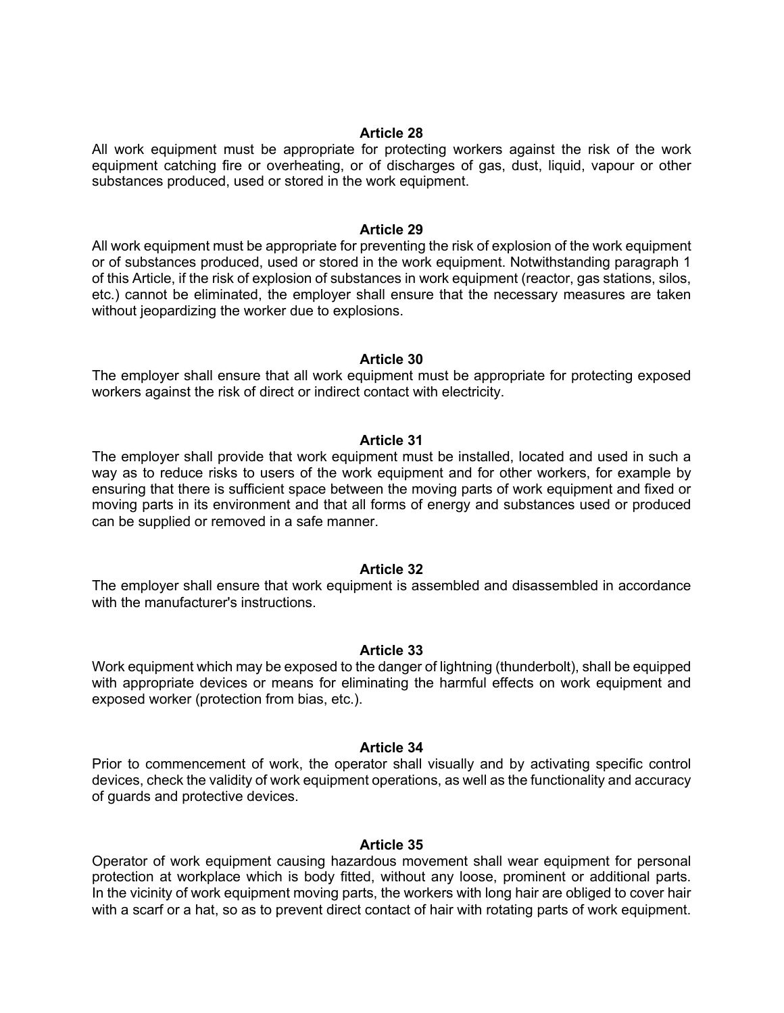All work equipment must be appropriate for protecting workers against the risk of the work equipment catching fire or overheating, or of discharges of gas, dust, liquid, vapour or other substances produced, used or stored in the work equipment.

#### **Article 29**

All work equipment must be appropriate for preventing the risk of explosion of the work equipment or of substances produced, used or stored in the work equipment. Notwithstanding paragraph 1 of this Article, if the risk of explosion of substances in work equipment (reactor, gas stations, silos, etc.) cannot be eliminated, the employer shall ensure that the necessary measures are taken without jeopardizing the worker due to explosions.

#### **Article 30**

The employer shall ensure that all work equipment must be appropriate for protecting exposed workers against the risk of direct or indirect contact with electricity.

#### **Article 31**

The employer shall provide that work equipment must be installed, located and used in such a way as to reduce risks to users of the work equipment and for other workers, for example by ensuring that there is sufficient space between the moving parts of work equipment and fixed or moving parts in its environment and that all forms of energy and substances used or produced can be supplied or removed in a safe manner.

#### **Article 32**

The employer shall ensure that work equipment is assembled and disassembled in accordance with the manufacturer's instructions.

#### **Article 33**

Work equipment which may be exposed to the danger of lightning (thunderbolt), shall be equipped with appropriate devices or means for eliminating the harmful effects on work equipment and exposed worker (protection from bias, etc.).

#### **Article 34**

Prior to commencement of work, the operator shall visually and by activating specific control devices, check the validity of work equipment operations, as well as the functionality and accuracy of guards and protective devices.

#### **Article 35**

Operator of work equipment causing hazardous movement shall wear equipment for personal protection at workplace which is body fitted, without any loose, prominent or additional parts. In the vicinity of work equipment moving parts, the workers with long hair are obliged to cover hair with a scarf or a hat, so as to prevent direct contact of hair with rotating parts of work equipment.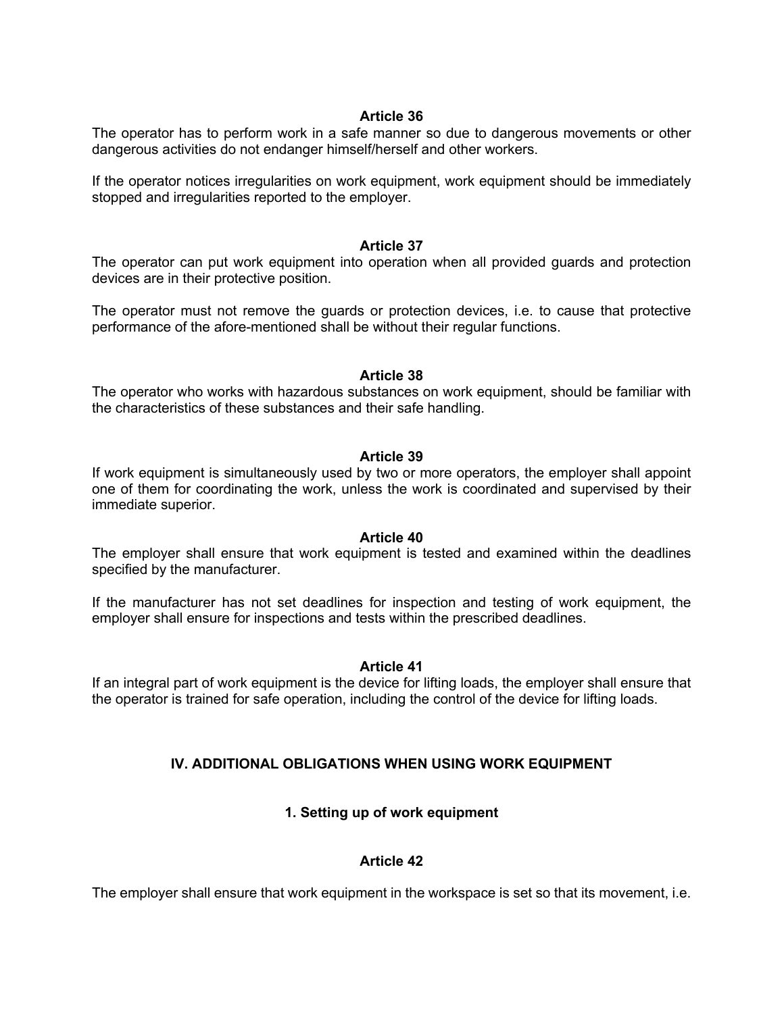The operator has to perform work in a safe manner so due to dangerous movements or other dangerous activities do not endanger himself/herself and other workers.

If the operator notices irregularities on work equipment, work equipment should be immediately stopped and irregularities reported to the employer.

## **Article 37**

The operator can put work equipment into operation when all provided guards and protection devices are in their protective position.

The operator must not remove the guards or protection devices, i.e. to cause that protective performance of the afore-mentioned shall be without their regular functions.

## **Article 38**

The operator who works with hazardous substances on work equipment, should be familiar with the characteristics of these substances and their safe handling.

## **Article 39**

If work equipment is simultaneously used by two or more operators, the employer shall appoint one of them for coordinating the work, unless the work is coordinated and supervised by their immediate superior.

## **Article 40**

The employer shall ensure that work equipment is tested and examined within the deadlines specified by the manufacturer.

If the manufacturer has not set deadlines for inspection and testing of work equipment, the employer shall ensure for inspections and tests within the prescribed deadlines.

## **Article 41**

If an integral part of work equipment is the device for lifting loads, the employer shall ensure that the operator is trained for safe operation, including the control of the device for lifting loads.

# **IV. ADDITIONAL OBLIGATIONS WHEN USING WORK EQUIPMENT**

# **1. Setting up of work equipment**

# **Article 42**

The employer shall ensure that work equipment in the workspace is set so that its movement, i.e.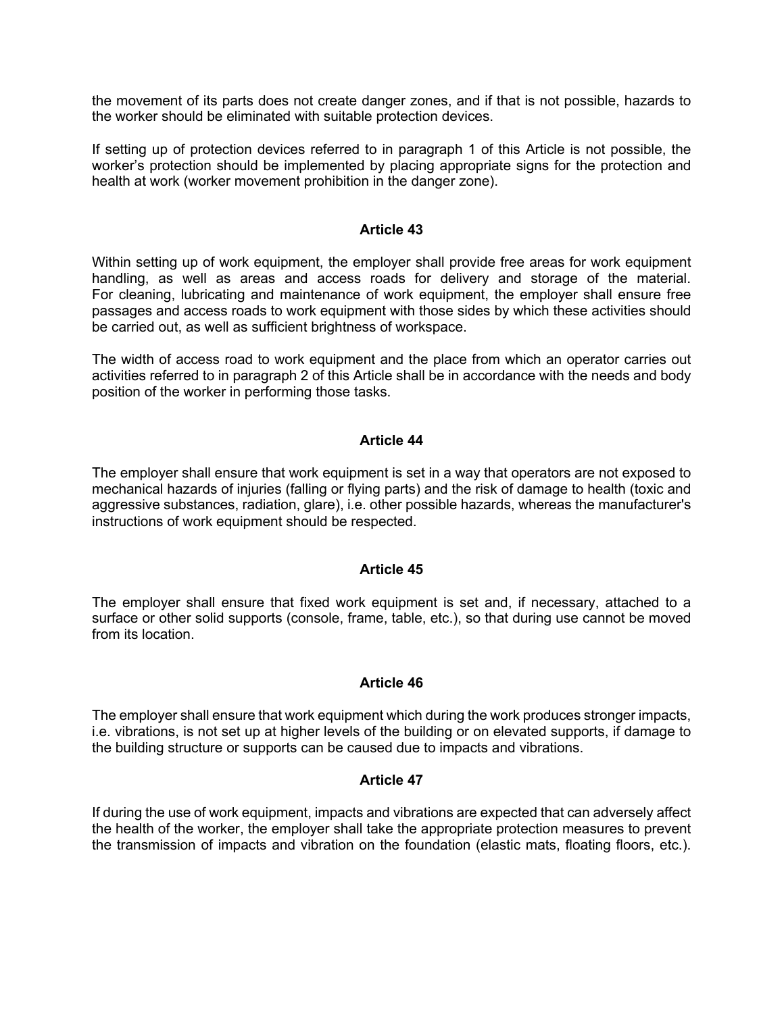the movement of its parts does not create danger zones, and if that is not possible, hazards to the worker should be eliminated with suitable protection devices.

If setting up of protection devices referred to in paragraph 1 of this Article is not possible, the worker's protection should be implemented by placing appropriate signs for the protection and health at work (worker movement prohibition in the danger zone).

#### **Article 43**

Within setting up of work equipment, the employer shall provide free areas for work equipment handling, as well as areas and access roads for delivery and storage of the material. For cleaning, lubricating and maintenance of work equipment, the employer shall ensure free passages and access roads to work equipment with those sides by which these activities should be carried out, as well as sufficient brightness of workspace.

The width of access road to work equipment and the place from which an operator carries out activities referred to in paragraph 2 of this Article shall be in accordance with the needs and body position of the worker in performing those tasks.

## **Article 44**

The employer shall ensure that work equipment is set in a way that operators are not exposed to mechanical hazards of injuries (falling or flying parts) and the risk of damage to health (toxic and aggressive substances, radiation, glare), i.e. other possible hazards, whereas the manufacturer's instructions of work equipment should be respected.

## **Article 45**

The employer shall ensure that fixed work equipment is set and, if necessary, attached to a surface or other solid supports (console, frame, table, etc.), so that during use cannot be moved from its location.

## **Article 46**

The employer shall ensure that work equipment which during the work produces stronger impacts, i.e. vibrations, is not set up at higher levels of the building or on elevated supports, if damage to the building structure or supports can be caused due to impacts and vibrations.

#### **Article 47**

If during the use of work equipment, impacts and vibrations are expected that can adversely affect the health of the worker, the employer shall take the appropriate protection measures to prevent the transmission of impacts and vibration on the foundation (elastic mats, floating floors, etc.).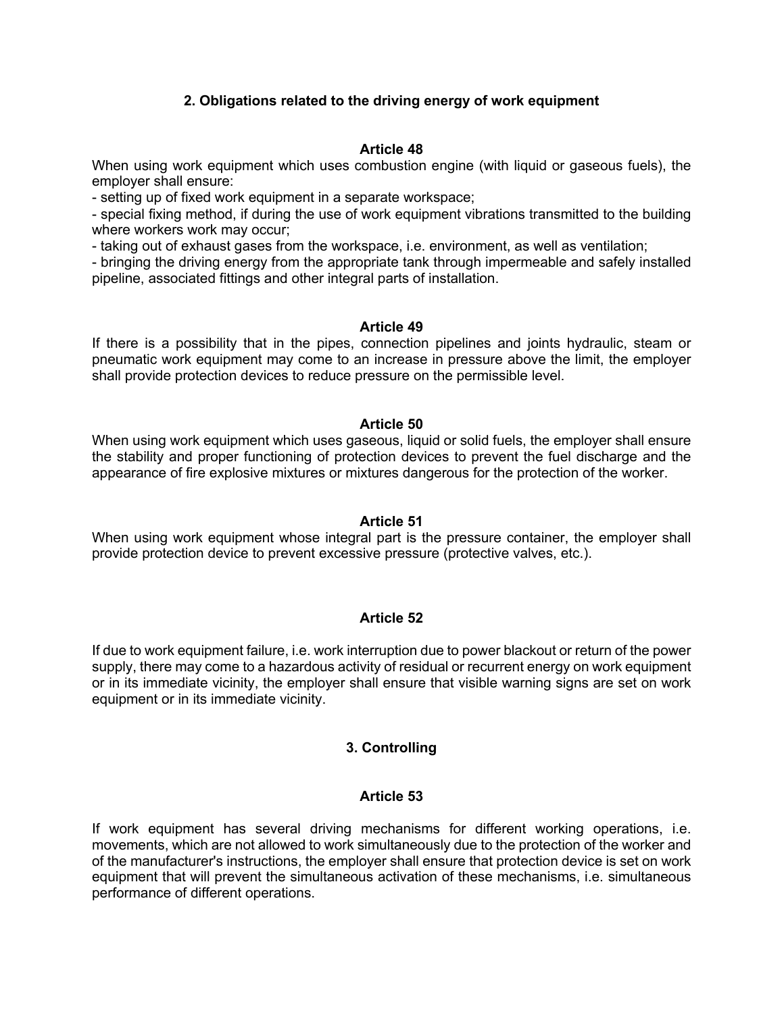# **2. Obligations related to the driving energy of work equipment**

## **Article 48**

When using work equipment which uses combustion engine (with liquid or gaseous fuels), the employer shall ensure:

- setting up of fixed work equipment in a separate workspace;

- special fixing method, if during the use of work equipment vibrations transmitted to the building where workers work may occur;

- taking out of exhaust gases from the workspace, i.e. environment, as well as ventilation;

- bringing the driving energy from the appropriate tank through impermeable and safely installed pipeline, associated fittings and other integral parts of installation.

## **Article 49**

If there is a possibility that in the pipes, connection pipelines and joints hydraulic, steam or pneumatic work equipment may come to an increase in pressure above the limit, the employer shall provide protection devices to reduce pressure on the permissible level.

## **Article 50**

When using work equipment which uses gaseous, liquid or solid fuels, the employer shall ensure the stability and proper functioning of protection devices to prevent the fuel discharge and the appearance of fire explosive mixtures or mixtures dangerous for the protection of the worker.

# **Article 51**

When using work equipment whose integral part is the pressure container, the employer shall provide protection device to prevent excessive pressure (protective valves, etc.).

# **Article 52**

If due to work equipment failure, i.e. work interruption due to power blackout or return of the power supply, there may come to a hazardous activity of residual or recurrent energy on work equipment or in its immediate vicinity, the employer shall ensure that visible warning signs are set on work equipment or in its immediate vicinity.

# **3. Controlling**

# **Article 53**

If work equipment has several driving mechanisms for different working operations, i.e. movements, which are not allowed to work simultaneously due to the protection of the worker and of the manufacturer's instructions, the employer shall ensure that protection device is set on work equipment that will prevent the simultaneous activation of these mechanisms, i.e. simultaneous performance of different operations.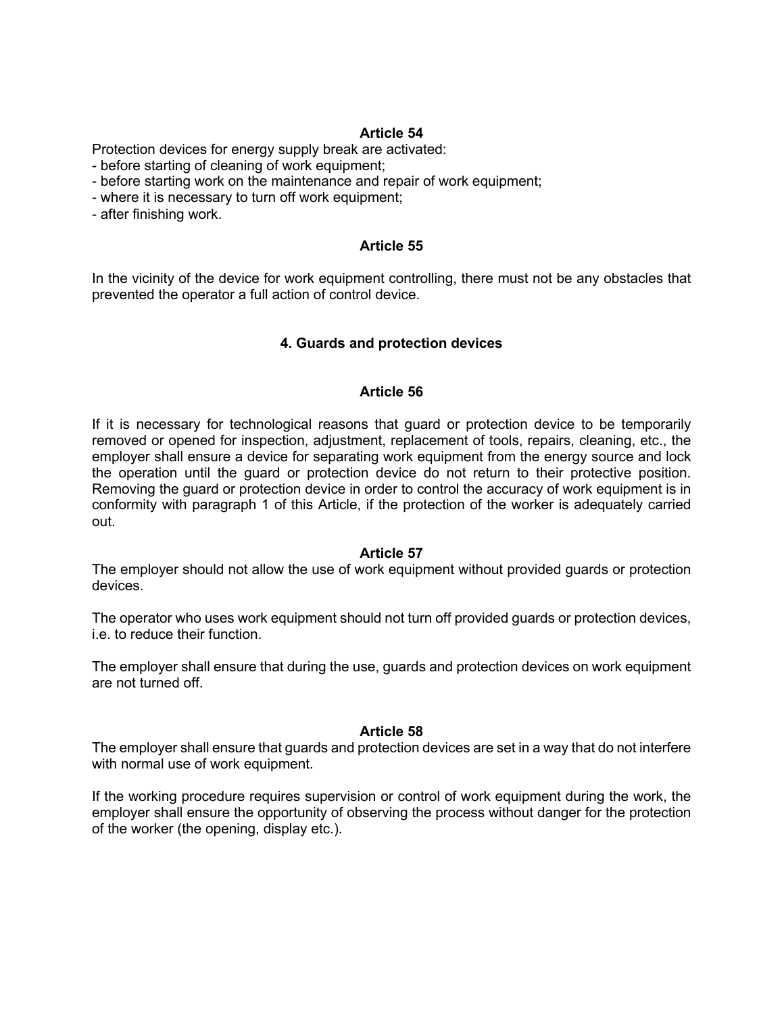Protection devices for energy supply break are activated:

- before starting of cleaning of work equipment;
- before starting work on the maintenance and repair of work equipment;
- where it is necessary to turn off work equipment;
- after finishing work.

## **Article 55**

In the vicinity of the device for work equipment controlling, there must not be any obstacles that prevented the operator a full action of control device.

## **4. Guards and protection devices**

#### **Article 56**

If it is necessary for technological reasons that guard or protection device to be temporarily removed or opened for inspection, adjustment, replacement of tools, repairs, cleaning, etc., the employer shall ensure a device for separating work equipment from the energy source and lock the operation until the guard or protection device do not return to their protective position. Removing the guard or protection device in order to control the accuracy of work equipment is in conformity with paragraph 1 of this Article, if the protection of the worker is adequately carried out.

#### **Article 57**

The employer should not allow the use of work equipment without provided guards or protection devices.

The operator who uses work equipment should not turn off provided guards or protection devices, i.e. to reduce their function.

The employer shall ensure that during the use, guards and protection devices on work equipment are not turned off.

#### **Article 58**

The employer shall ensure that guards and protection devices are set in a way that do not interfere with normal use of work equipment.

If the working procedure requires supervision or control of work equipment during the work, the employer shall ensure the opportunity of observing the process without danger for the protection of the worker (the opening, display etc.).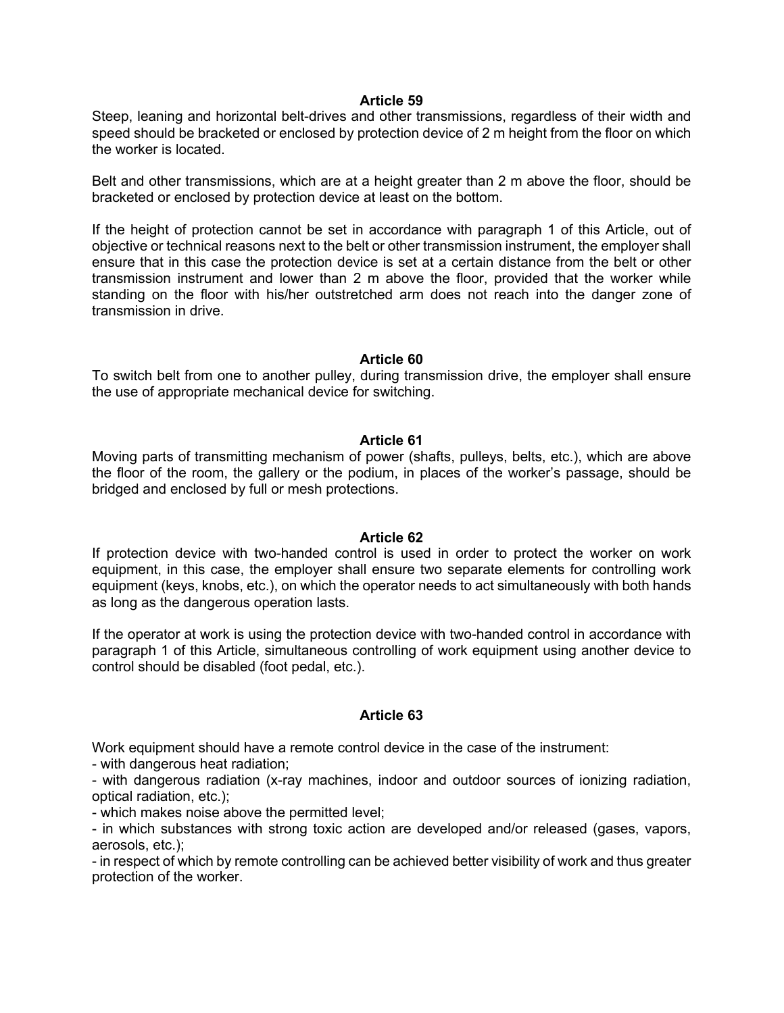Steep, leaning and horizontal belt-drives and other transmissions, regardless of their width and speed should be bracketed or enclosed by protection device of 2 m height from the floor on which the worker is located.

Belt and other transmissions, which are at a height greater than 2 m above the floor, should be bracketed or enclosed by protection device at least on the bottom.

If the height of protection cannot be set in accordance with paragraph 1 of this Article, out of objective or technical reasons next to the belt or other transmission instrument, the employer shall ensure that in this case the protection device is set at a certain distance from the belt or other transmission instrument and lower than 2 m above the floor, provided that the worker while standing on the floor with his/her outstretched arm does not reach into the danger zone of transmission in drive.

## **Article 60**

To switch belt from one to another pulley, during transmission drive, the employer shall ensure the use of appropriate mechanical device for switching.

#### **Article 61**

Moving parts of transmitting mechanism of power (shafts, pulleys, belts, etc.), which are above the floor of the room, the gallery or the podium, in places of the worker's passage, should be bridged and enclosed by full or mesh protections.

#### **Article 62**

If protection device with two-handed control is used in order to protect the worker on work equipment, in this case, the employer shall ensure two separate elements for controlling work equipment (keys, knobs, etc.), on which the operator needs to act simultaneously with both hands as long as the dangerous operation lasts.

If the operator at work is using the protection device with two-handed control in accordance with paragraph 1 of this Article, simultaneous controlling of work equipment using another device to control should be disabled (foot pedal, etc.).

## **Article 63**

Work equipment should have a remote control device in the case of the instrument:

- with dangerous heat radiation;

- with dangerous radiation (x-ray machines, indoor and outdoor sources of ionizing radiation, optical radiation, etc.);

- which makes noise above the permitted level;

- in which substances with strong toxic action are developed and/or released (gases, vapors, aerosols, etc.);

- in respect of which by remote controlling can be achieved better visibility of work and thus greater protection of the worker.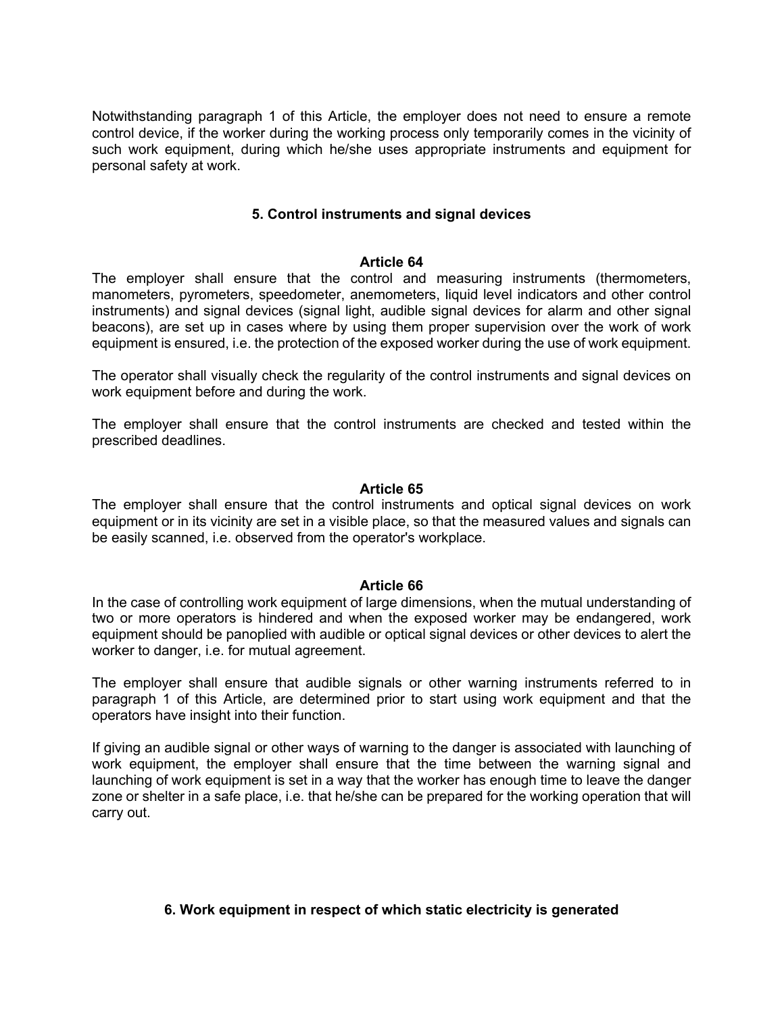Notwithstanding paragraph 1 of this Article, the employer does not need to ensure a remote control device, if the worker during the working process only temporarily comes in the vicinity of such work equipment, during which he/she uses appropriate instruments and equipment for personal safety at work.

## **5. Control instruments and signal devices**

#### **Article 64**

The employer shall ensure that the control and measuring instruments (thermometers, manometers, pyrometers, speedometer, anemometers, liquid level indicators and other control instruments) and signal devices (signal light, audible signal devices for alarm and other signal beacons), are set up in cases where by using them proper supervision over the work of work equipment is ensured, i.e. the protection of the exposed worker during the use of work equipment.

The operator shall visually check the regularity of the control instruments and signal devices on work equipment before and during the work.

The employer shall ensure that the control instruments are checked and tested within the prescribed deadlines.

#### **Article 65**

The employer shall ensure that the control instruments and optical signal devices on work equipment or in its vicinity are set in a visible place, so that the measured values and signals can be easily scanned, i.e. observed from the operator's workplace.

#### **Article 66**

In the case of controlling work equipment of large dimensions, when the mutual understanding of two or more operators is hindered and when the exposed worker may be endangered, work equipment should be panoplied with audible or optical signal devices or other devices to alert the worker to danger, i.e. for mutual agreement.

The employer shall ensure that audible signals or other warning instruments referred to in paragraph 1 of this Article, are determined prior to start using work equipment and that the operators have insight into their function.

If giving an audible signal or other ways of warning to the danger is associated with launching of work equipment, the employer shall ensure that the time between the warning signal and launching of work equipment is set in a way that the worker has enough time to leave the danger zone or shelter in a safe place, i.e. that he/she can be prepared for the working operation that will carry out.

## **6. Work equipment in respect of which static electricity is generated**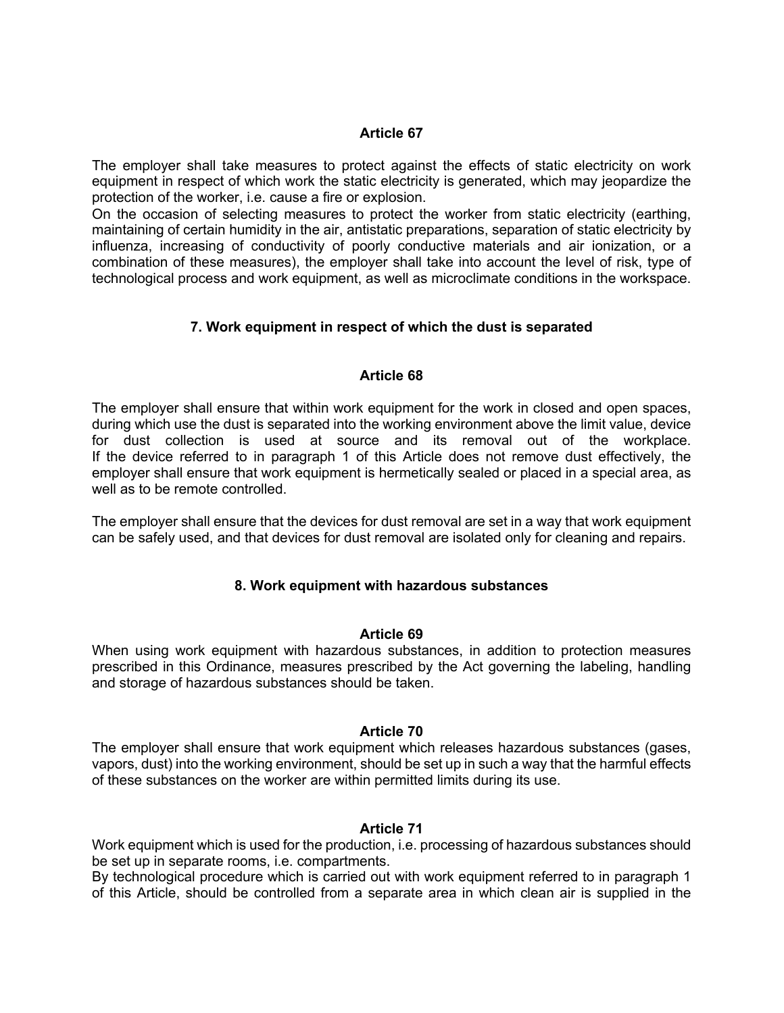The employer shall take measures to protect against the effects of static electricity on work equipment in respect of which work the static electricity is generated, which may jeopardize the protection of the worker, i.e. cause a fire or explosion.

On the occasion of selecting measures to protect the worker from static electricity (earthing, maintaining of certain humidity in the air, antistatic preparations, separation of static electricity by influenza, increasing of conductivity of poorly conductive materials and air ionization, or a combination of these measures), the employer shall take into account the level of risk, type of technological process and work equipment, as well as microclimate conditions in the workspace.

# **7. Work equipment in respect of which the dust is separated**

## **Article 68**

The employer shall ensure that within work equipment for the work in closed and open spaces, during which use the dust is separated into the working environment above the limit value, device for dust collection is used at source and its removal out of the workplace. If the device referred to in paragraph 1 of this Article does not remove dust effectively, the employer shall ensure that work equipment is hermetically sealed or placed in a special area, as well as to be remote controlled.

The employer shall ensure that the devices for dust removal are set in a way that work equipment can be safely used, and that devices for dust removal are isolated only for cleaning and repairs.

## **8. Work equipment with hazardous substances**

## **Article 69**

When using work equipment with hazardous substances, in addition to protection measures prescribed in this Ordinance, measures prescribed by the Act governing the labeling, handling and storage of hazardous substances should be taken.

## **Article 70**

The employer shall ensure that work equipment which releases hazardous substances (gases, vapors, dust) into the working environment, should be set up in such a way that the harmful effects of these substances on the worker are within permitted limits during its use.

## **Article 71**

Work equipment which is used for the production, i.e. processing of hazardous substances should be set up in separate rooms, i.e. compartments.

By technological procedure which is carried out with work equipment referred to in paragraph 1 of this Article, should be controlled from a separate area in which clean air is supplied in the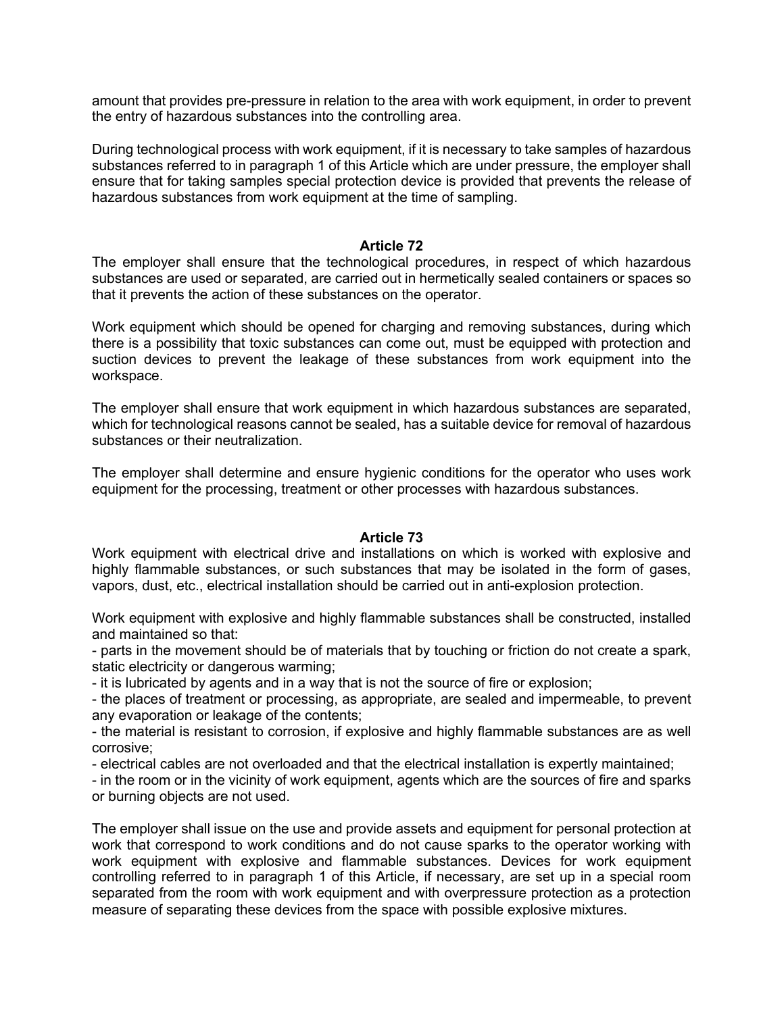amount that provides pre-pressure in relation to the area with work equipment, in order to prevent the entry of hazardous substances into the controlling area.

During technological process with work equipment, if it is necessary to take samples of hazardous substances referred to in paragraph 1 of this Article which are under pressure, the employer shall ensure that for taking samples special protection device is provided that prevents the release of hazardous substances from work equipment at the time of sampling.

## **Article 72**

The employer shall ensure that the technological procedures, in respect of which hazardous substances are used or separated, are carried out in hermetically sealed containers or spaces so that it prevents the action of these substances on the operator.

Work equipment which should be opened for charging and removing substances, during which there is a possibility that toxic substances can come out, must be equipped with protection and suction devices to prevent the leakage of these substances from work equipment into the workspace.

The employer shall ensure that work equipment in which hazardous substances are separated, which for technological reasons cannot be sealed, has a suitable device for removal of hazardous substances or their neutralization.

The employer shall determine and ensure hygienic conditions for the operator who uses work equipment for the processing, treatment or other processes with hazardous substances.

## **Article 73**

Work equipment with electrical drive and installations on which is worked with explosive and highly flammable substances, or such substances that may be isolated in the form of gases, vapors, dust, etc., electrical installation should be carried out in anti-explosion protection.

Work equipment with explosive and highly flammable substances shall be constructed, installed and maintained so that:

- parts in the movement should be of materials that by touching or friction do not create a spark, static electricity or dangerous warming;

- it is lubricated by agents and in a way that is not the source of fire or explosion;

- the places of treatment or processing, as appropriate, are sealed and impermeable, to prevent any evaporation or leakage of the contents;

- the material is resistant to corrosion, if explosive and highly flammable substances are as well corrosive;

- electrical cables are not overloaded and that the electrical installation is expertly maintained;

- in the room or in the vicinity of work equipment, agents which are the sources of fire and sparks or burning objects are not used.

The employer shall issue on the use and provide assets and equipment for personal protection at work that correspond to work conditions and do not cause sparks to the operator working with work equipment with explosive and flammable substances. Devices for work equipment controlling referred to in paragraph 1 of this Article, if necessary, are set up in a special room separated from the room with work equipment and with overpressure protection as a protection measure of separating these devices from the space with possible explosive mixtures.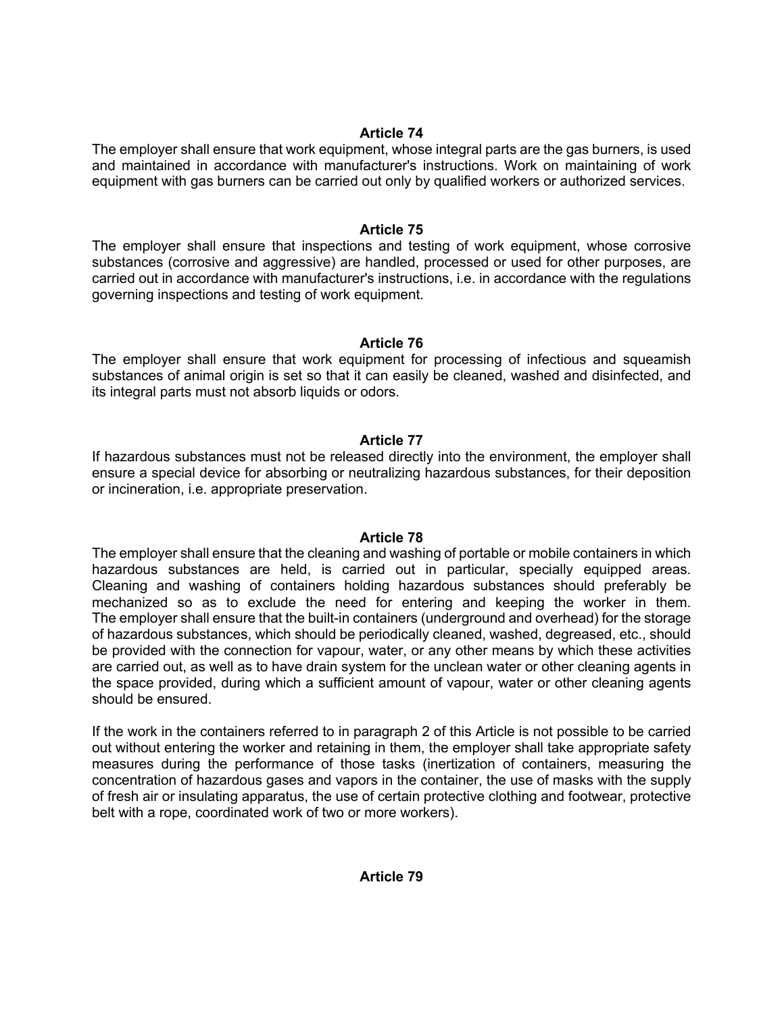The employer shall ensure that work equipment, whose integral parts are the gas burners, is used and maintained in accordance with manufacturer's instructions. Work on maintaining of work equipment with gas burners can be carried out only by qualified workers or authorized services.

## **Article 75**

The employer shall ensure that inspections and testing of work equipment, whose corrosive substances (corrosive and aggressive) are handled, processed or used for other purposes, are carried out in accordance with manufacturer's instructions, i.e. in accordance with the regulations governing inspections and testing of work equipment.

# **Article 76**

The employer shall ensure that work equipment for processing of infectious and squeamish substances of animal origin is set so that it can easily be cleaned, washed and disinfected, and its integral parts must not absorb liquids or odors.

# **Article 77**

If hazardous substances must not be released directly into the environment, the employer shall ensure a special device for absorbing or neutralizing hazardous substances, for their deposition or incineration, i.e. appropriate preservation.

## **Article 78**

The employer shall ensure that the cleaning and washing of portable or mobile containers in which hazardous substances are held, is carried out in particular, specially equipped areas. Cleaning and washing of containers holding hazardous substances should preferably be mechanized so as to exclude the need for entering and keeping the worker in them. The employer shall ensure that the built-in containers (underground and overhead) for the storage of hazardous substances, which should be periodically cleaned, washed, degreased, etc., should be provided with the connection for vapour, water, or any other means by which these activities are carried out, as well as to have drain system for the unclean water or other cleaning agents in the space provided, during which a sufficient amount of vapour, water or other cleaning agents should be ensured.

If the work in the containers referred to in paragraph 2 of this Article is not possible to be carried out without entering the worker and retaining in them, the employer shall take appropriate safety measures during the performance of those tasks (inertization of containers, measuring the concentration of hazardous gases and vapors in the container, the use of masks with the supply of fresh air or insulating apparatus, the use of certain protective clothing and footwear, protective belt with a rope, coordinated work of two or more workers).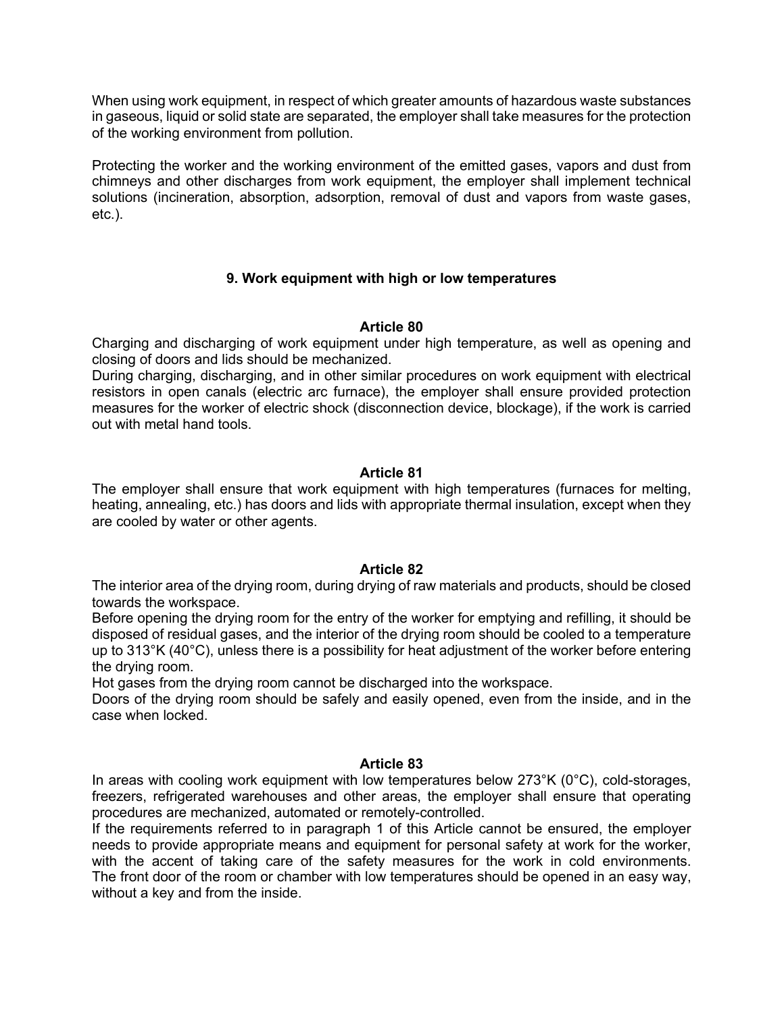When using work equipment, in respect of which greater amounts of hazardous waste substances in gaseous, liquid or solid state are separated, the employer shall take measures for the protection of the working environment from pollution.

Protecting the worker and the working environment of the emitted gases, vapors and dust from chimneys and other discharges from work equipment, the employer shall implement technical solutions (incineration, absorption, adsorption, removal of dust and vapors from waste gases, etc.).

# **9. Work equipment with high or low temperatures**

## **Article 80**

Charging and discharging of work equipment under high temperature, as well as opening and closing of doors and lids should be mechanized.

During charging, discharging, and in other similar procedures on work equipment with electrical resistors in open canals (electric arc furnace), the employer shall ensure provided protection measures for the worker of electric shock (disconnection device, blockage), if the work is carried out with metal hand tools.

## **Article 81**

The employer shall ensure that work equipment with high temperatures (furnaces for melting, heating, annealing, etc.) has doors and lids with appropriate thermal insulation, except when they are cooled by water or other agents.

## **Article 82**

The interior area of the drying room, during drying of raw materials and products, should be closed towards the workspace.

Before opening the drying room for the entry of the worker for emptying and refilling, it should be disposed of residual gases, and the interior of the drying room should be cooled to a temperature up to 313°K (40°C), unless there is a possibility for heat adjustment of the worker before entering the drying room.

Hot gases from the drying room cannot be discharged into the workspace.

Doors of the drying room should be safely and easily opened, even from the inside, and in the case when locked.

## **Article 83**

In areas with cooling work equipment with low temperatures below 273°K (0°C), cold-storages, freezers, refrigerated warehouses and other areas, the employer shall ensure that operating procedures are mechanized, automated or remotely-controlled.

If the requirements referred to in paragraph 1 of this Article cannot be ensured, the employer needs to provide appropriate means and equipment for personal safety at work for the worker, with the accent of taking care of the safety measures for the work in cold environments. The front door of the room or chamber with low temperatures should be opened in an easy way, without a key and from the inside.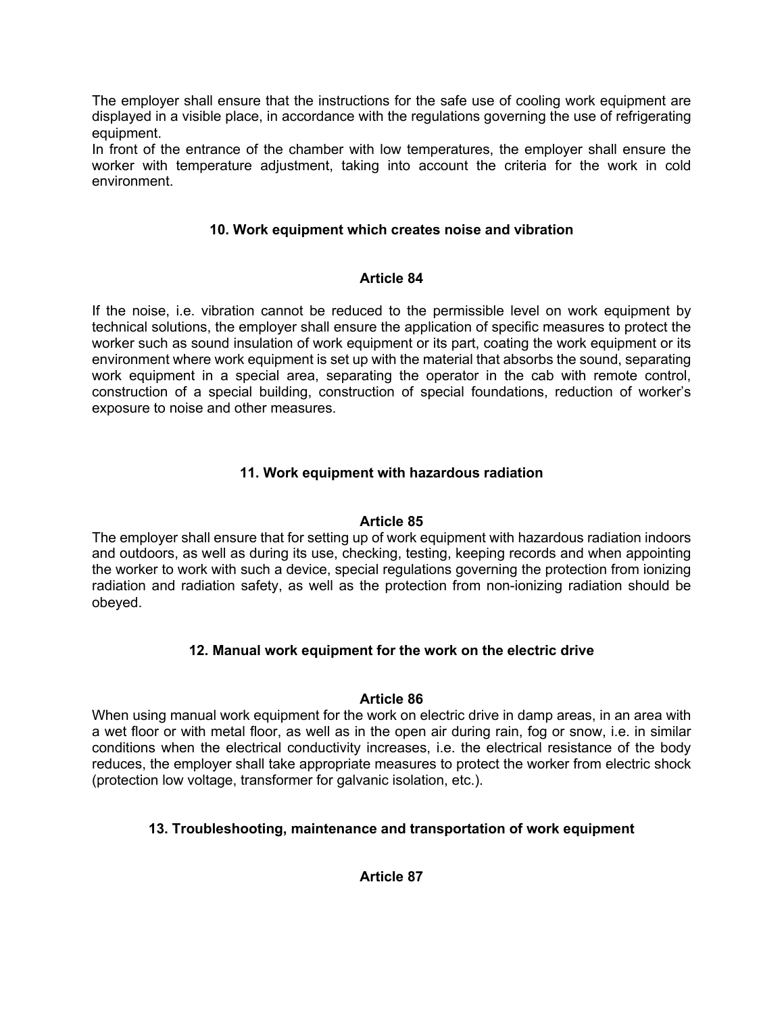The employer shall ensure that the instructions for the safe use of cooling work equipment are displayed in a visible place, in accordance with the regulations governing the use of refrigerating equipment.

In front of the entrance of the chamber with low temperatures, the employer shall ensure the worker with temperature adjustment, taking into account the criteria for the work in cold environment.

# **10. Work equipment which creates noise and vibration**

# **Article 84**

If the noise, i.e. vibration cannot be reduced to the permissible level on work equipment by technical solutions, the employer shall ensure the application of specific measures to protect the worker such as sound insulation of work equipment or its part, coating the work equipment or its environment where work equipment is set up with the material that absorbs the sound, separating work equipment in a special area, separating the operator in the cab with remote control, construction of a special building, construction of special foundations, reduction of worker's exposure to noise and other measures.

# **11. Work equipment with hazardous radiation**

# **Article 85**

The employer shall ensure that for setting up of work equipment with hazardous radiation indoors and outdoors, as well as during its use, checking, testing, keeping records and when appointing the worker to work with such a device, special regulations governing the protection from ionizing radiation and radiation safety, as well as the protection from non-ionizing radiation should be obeyed.

# **12. Manual work equipment for the work on the electric drive**

# **Article 86**

When using manual work equipment for the work on electric drive in damp areas, in an area with a wet floor or with metal floor, as well as in the open air during rain, fog or snow, i.e. in similar conditions when the electrical conductivity increases, i.e. the electrical resistance of the body reduces, the employer shall take appropriate measures to protect the worker from electric shock (protection low voltage, transformer for galvanic isolation, etc.).

# **13. Troubleshooting, maintenance and transportation of work equipment**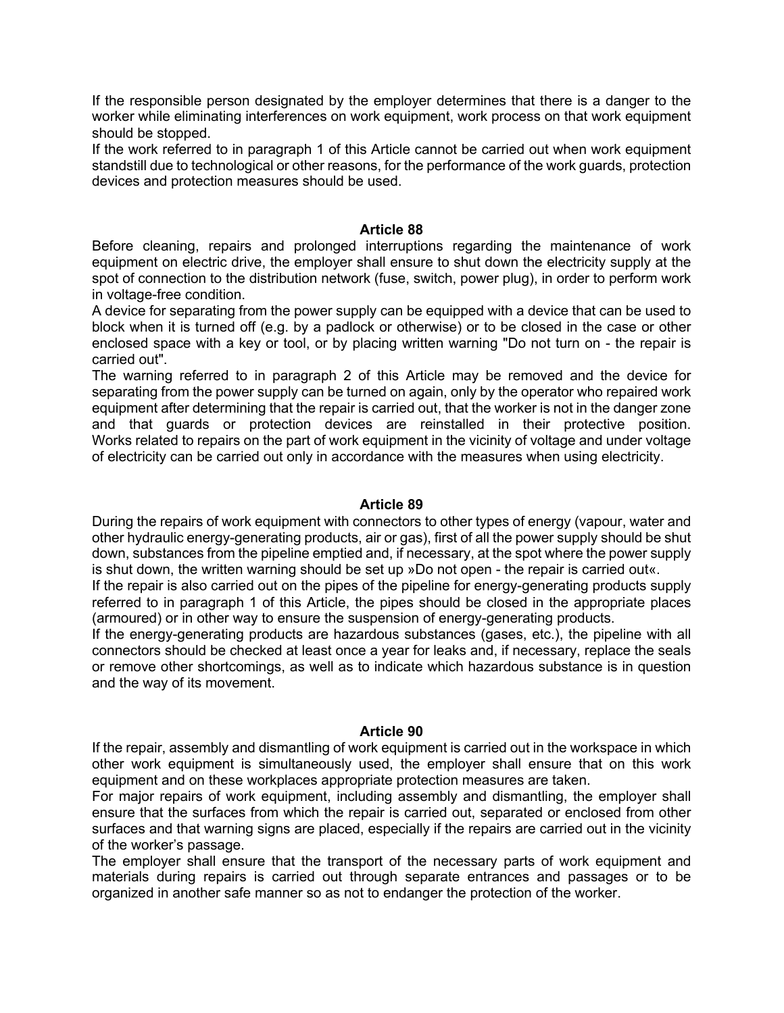If the responsible person designated by the employer determines that there is a danger to the worker while eliminating interferences on work equipment, work process on that work equipment should be stopped.

If the work referred to in paragraph 1 of this Article cannot be carried out when work equipment standstill due to technological or other reasons, for the performance of the work guards, protection devices and protection measures should be used.

## **Article 88**

Before cleaning, repairs and prolonged interruptions regarding the maintenance of work equipment on electric drive, the employer shall ensure to shut down the electricity supply at the spot of connection to the distribution network (fuse, switch, power plug), in order to perform work in voltage-free condition.

A device for separating from the power supply can be equipped with a device that can be used to block when it is turned off (e.g. by a padlock or otherwise) or to be closed in the case or other enclosed space with a key or tool, or by placing written warning "Do not turn on - the repair is carried out".

The warning referred to in paragraph 2 of this Article may be removed and the device for separating from the power supply can be turned on again, only by the operator who repaired work equipment after determining that the repair is carried out, that the worker is not in the danger zone and that guards or protection devices are reinstalled in their protective position. Works related to repairs on the part of work equipment in the vicinity of voltage and under voltage of electricity can be carried out only in accordance with the measures when using electricity.

## **Article 89**

During the repairs of work equipment with connectors to other types of energy (vapour, water and other hydraulic energy-generating products, air or gas), first of all the power supply should be shut down, substances from the pipeline emptied and, if necessary, at the spot where the power supply is shut down, the written warning should be set up »Do not open - the repair is carried out«.

If the repair is also carried out on the pipes of the pipeline for energy-generating products supply referred to in paragraph 1 of this Article, the pipes should be closed in the appropriate places (armoured) or in other way to ensure the suspension of energy-generating products.

If the energy-generating products are hazardous substances (gases, etc.), the pipeline with all connectors should be checked at least once a year for leaks and, if necessary, replace the seals or remove other shortcomings, as well as to indicate which hazardous substance is in question and the way of its movement.

#### **Article 90**

If the repair, assembly and dismantling of work equipment is carried out in the workspace in which other work equipment is simultaneously used, the employer shall ensure that on this work equipment and on these workplaces appropriate protection measures are taken.

For major repairs of work equipment, including assembly and dismantling, the employer shall ensure that the surfaces from which the repair is carried out, separated or enclosed from other surfaces and that warning signs are placed, especially if the repairs are carried out in the vicinity of the worker's passage.

The employer shall ensure that the transport of the necessary parts of work equipment and materials during repairs is carried out through separate entrances and passages or to be organized in another safe manner so as not to endanger the protection of the worker.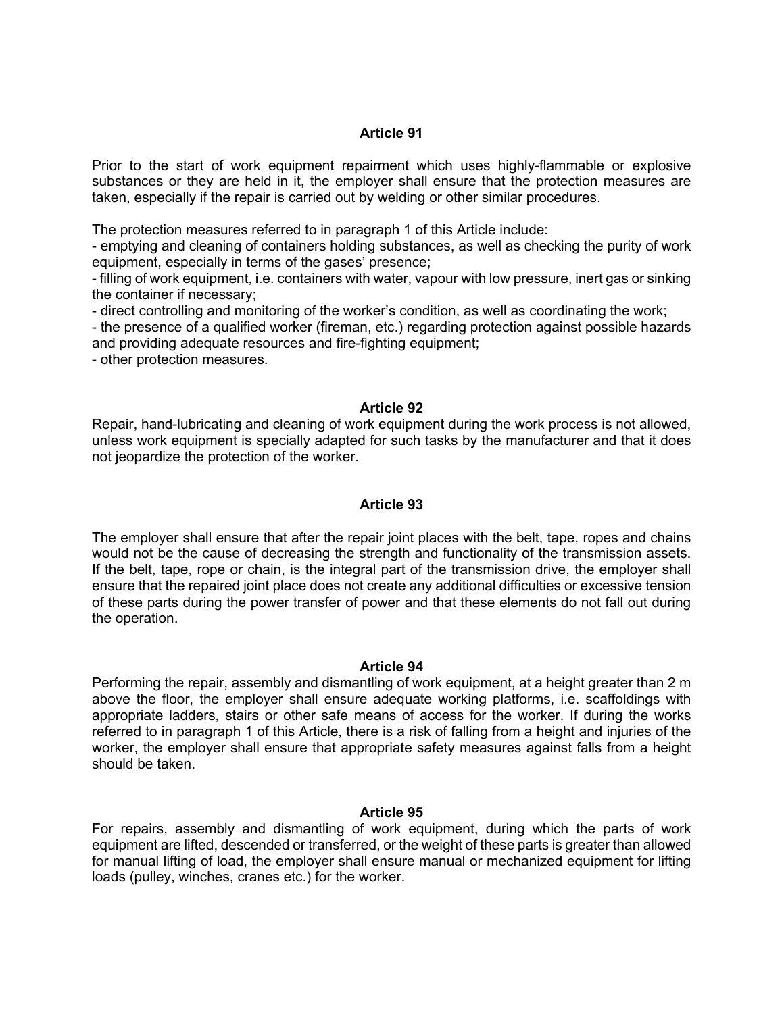Prior to the start of work equipment repairment which uses highly-flammable or explosive substances or they are held in it, the employer shall ensure that the protection measures are taken, especially if the repair is carried out by welding or other similar procedures.

The protection measures referred to in paragraph 1 of this Article include:

- emptying and cleaning of containers holding substances, as well as checking the purity of work equipment, especially in terms of the gases' presence;

- filling of work equipment, i.e. containers with water, vapour with low pressure, inert gas or sinking the container if necessary;

- direct controlling and monitoring of the worker's condition, as well as coordinating the work;

- the presence of a qualified worker (fireman, etc.) regarding protection against possible hazards and providing adequate resources and fire-fighting equipment;

- other protection measures.

## **Article 92**

Repair, hand-lubricating and cleaning of work equipment during the work process is not allowed, unless work equipment is specially adapted for such tasks by the manufacturer and that it does not jeopardize the protection of the worker.

#### **Article 93**

The employer shall ensure that after the repair joint places with the belt, tape, ropes and chains would not be the cause of decreasing the strength and functionality of the transmission assets. If the belt, tape, rope or chain, is the integral part of the transmission drive, the employer shall ensure that the repaired joint place does not create any additional difficulties or excessive tension of these parts during the power transfer of power and that these elements do not fall out during the operation.

#### **Article 94**

Performing the repair, assembly and dismantling of work equipment, at a height greater than 2 m above the floor, the employer shall ensure adequate working platforms, i.e. scaffoldings with appropriate ladders, stairs or other safe means of access for the worker. If during the works referred to in paragraph 1 of this Article, there is a risk of falling from a height and injuries of the worker, the employer shall ensure that appropriate safety measures against falls from a height should be taken.

#### **Article 95**

For repairs, assembly and dismantling of work equipment, during which the parts of work equipment are lifted, descended or transferred, or the weight of these parts is greater than allowed for manual lifting of load, the employer shall ensure manual or mechanized equipment for lifting loads (pulley, winches, cranes etc.) for the worker.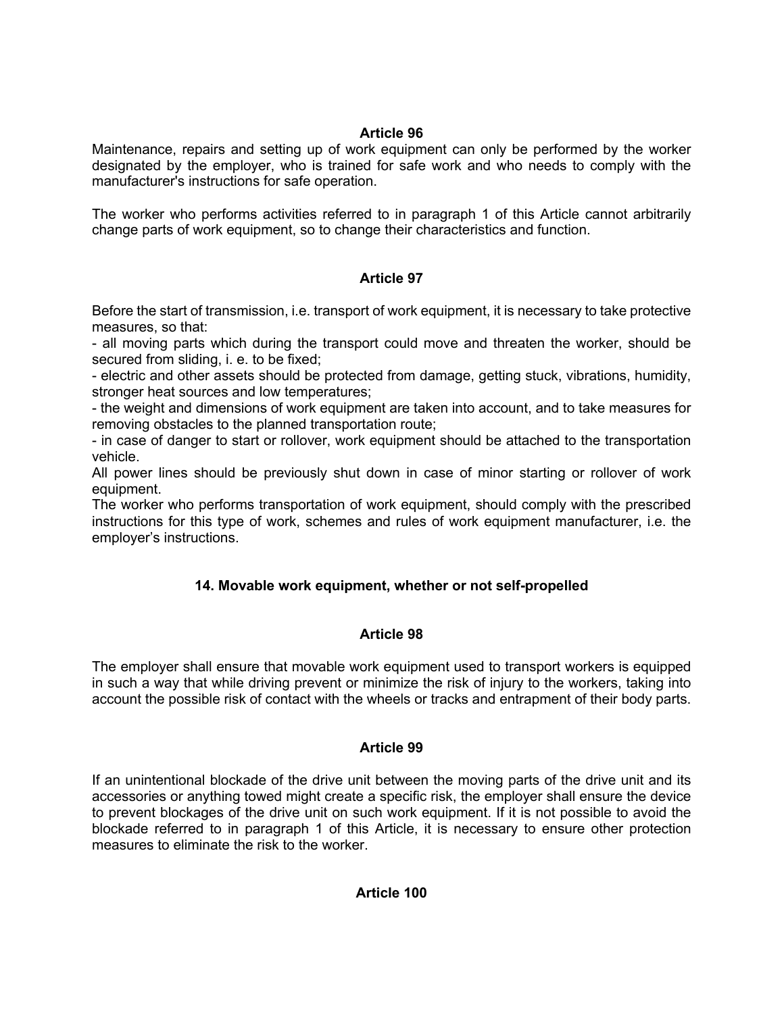Maintenance, repairs and setting up of work equipment can only be performed by the worker designated by the employer, who is trained for safe work and who needs to comply with the manufacturer's instructions for safe operation.

The worker who performs activities referred to in paragraph 1 of this Article cannot arbitrarily change parts of work equipment, so to change their characteristics and function.

# **Article 97**

Before the start of transmission, i.e. transport of work equipment, it is necessary to take protective measures, so that:

- all moving parts which during the transport could move and threaten the worker, should be secured from sliding, i. e. to be fixed;

- electric and other assets should be protected from damage, getting stuck, vibrations, humidity, stronger heat sources and low temperatures;

- the weight and dimensions of work equipment are taken into account, and to take measures for removing obstacles to the planned transportation route;

- in case of danger to start or rollover, work equipment should be attached to the transportation vehicle.

All power lines should be previously shut down in case of minor starting or rollover of work equipment.

The worker who performs transportation of work equipment, should comply with the prescribed instructions for this type of work, schemes and rules of work equipment manufacturer, i.e. the employer's instructions.

# **14. Movable work equipment, whether or not self-propelled**

# **Article 98**

The employer shall ensure that movable work equipment used to transport workers is equipped in such a way that while driving prevent or minimize the risk of injury to the workers, taking into account the possible risk of contact with the wheels or tracks and entrapment of their body parts.

# **Article 99**

If an unintentional blockade of the drive unit between the moving parts of the drive unit and its accessories or anything towed might create a specific risk, the employer shall ensure the device to prevent blockages of the drive unit on such work equipment. If it is not possible to avoid the blockade referred to in paragraph 1 of this Article, it is necessary to ensure other protection measures to eliminate the risk to the worker.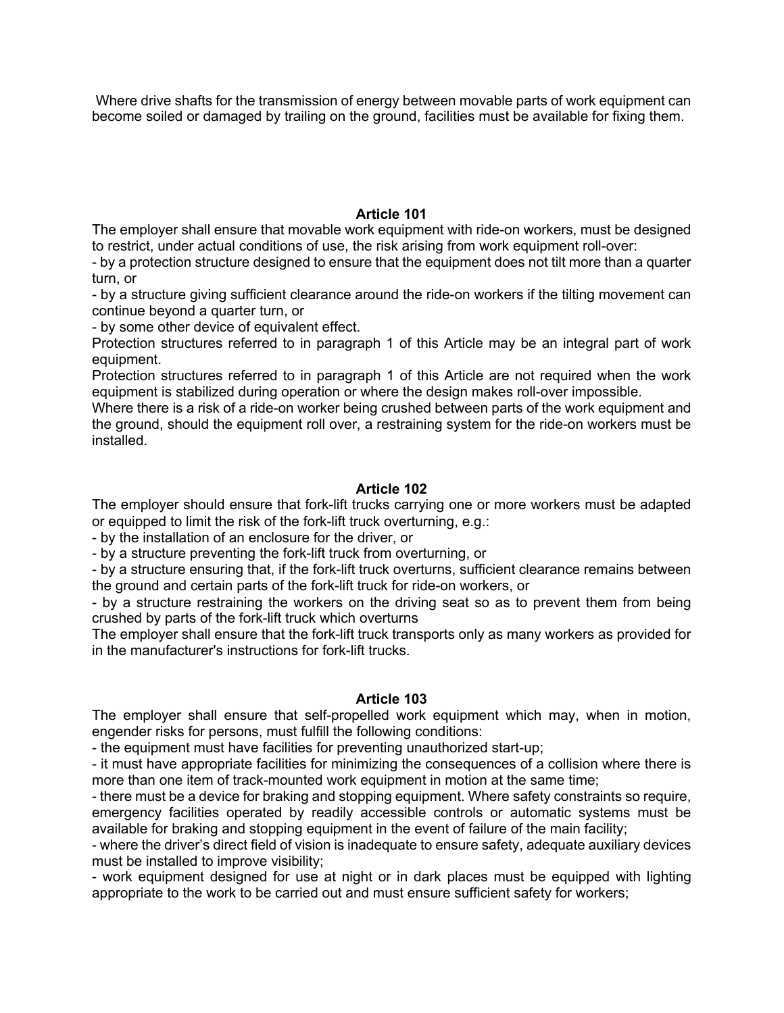Where drive shafts for the transmission of energy between movable parts of work equipment can become soiled or damaged by trailing on the ground, facilities must be available for fixing them.

## **Article 101**

The employer shall ensure that movable work equipment with ride-on workers, must be designed to restrict, under actual conditions of use, the risk arising from work equipment roll-over:

- by a protection structure designed to ensure that the equipment does not tilt more than a quarter turn, or

- by a structure giving sufficient clearance around the ride-on workers if the tilting movement can continue beyond a quarter turn, or

- by some other device of equivalent effect.

Protection structures referred to in paragraph 1 of this Article may be an integral part of work equipment.

Protection structures referred to in paragraph 1 of this Article are not required when the work equipment is stabilized during operation or where the design makes roll-over impossible.

Where there is a risk of a ride-on worker being crushed between parts of the work equipment and the ground, should the equipment roll over, a restraining system for the ride-on workers must be installed.

# **Article 102**

The employer should ensure that fork-lift trucks carrying one or more workers must be adapted or equipped to limit the risk of the fork-lift truck overturning, e.g.:

- by the installation of an enclosure for the driver, or

- by a structure preventing the fork-lift truck from overturning, or

- by a structure ensuring that, if the fork-lift truck overturns, sufficient clearance remains between the ground and certain parts of the fork-lift truck for ride-on workers, or

- by a structure restraining the workers on the driving seat so as to prevent them from being crushed by parts of the fork-lift truck which overturns

The employer shall ensure that the fork-lift truck transports only as many workers as provided for in the manufacturer's instructions for fork-lift trucks.

# **Article 103**

The employer shall ensure that self-propelled work equipment which may, when in motion, engender risks for persons, must fulfill the following conditions:

- the equipment must have facilities for preventing unauthorized start-up;

- it must have appropriate facilities for minimizing the consequences of a collision where there is more than one item of track-mounted work equipment in motion at the same time;

- there must be a device for braking and stopping equipment. Where safety constraints so require, emergency facilities operated by readily accessible controls or automatic systems must be available for braking and stopping equipment in the event of failure of the main facility;

- where the driver's direct field of vision is inadequate to ensure safety, adequate auxiliary devices must be installed to improve visibility;

- work equipment designed for use at night or in dark places must be equipped with lighting appropriate to the work to be carried out and must ensure sufficient safety for workers;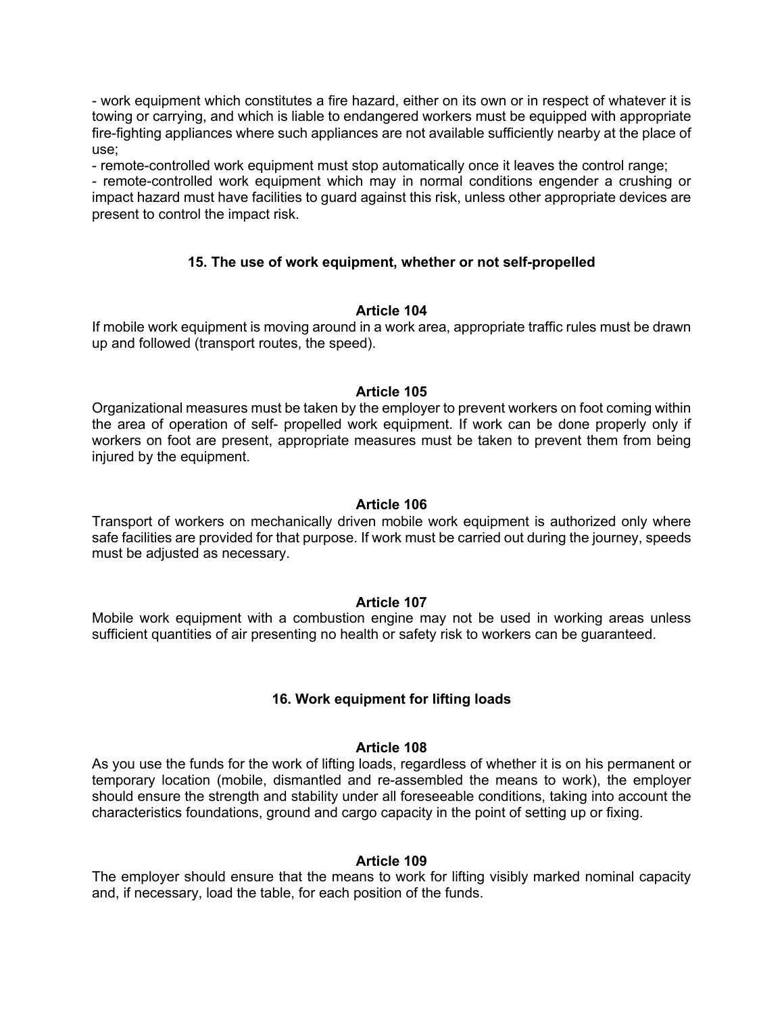- work equipment which constitutes a fire hazard, either on its own or in respect of whatever it is towing or carrying, and which is liable to endangered workers must be equipped with appropriate fire-fighting appliances where such appliances are not available sufficiently nearby at the place of use;

- remote-controlled work equipment must stop automatically once it leaves the control range;

- remote-controlled work equipment which may in normal conditions engender a crushing or impact hazard must have facilities to guard against this risk, unless other appropriate devices are present to control the impact risk.

## **15. The use of work equipment, whether or not self-propelled**

## **Article 104**

If mobile work equipment is moving around in a work area, appropriate traffic rules must be drawn up and followed (transport routes, the speed).

#### **Article 105**

Organizational measures must be taken by the employer to prevent workers on foot coming within the area of operation of self- propelled work equipment. If work can be done properly only if workers on foot are present, appropriate measures must be taken to prevent them from being injured by the equipment.

#### **Article 106**

Transport of workers on mechanically driven mobile work equipment is authorized only where safe facilities are provided for that purpose. If work must be carried out during the journey, speeds must be adjusted as necessary.

#### **Article 107**

Mobile work equipment with a combustion engine may not be used in working areas unless sufficient quantities of air presenting no health or safety risk to workers can be guaranteed.

## **16. Work equipment for lifting loads**

#### **Article 108**

As you use the funds for the work of lifting loads, regardless of whether it is on his permanent or temporary location (mobile, dismantled and re-assembled the means to work), the employer should ensure the strength and stability under all foreseeable conditions, taking into account the characteristics foundations, ground and cargo capacity in the point of setting up or fixing.

#### **Article 109**

The employer should ensure that the means to work for lifting visibly marked nominal capacity and, if necessary, load the table, for each position of the funds.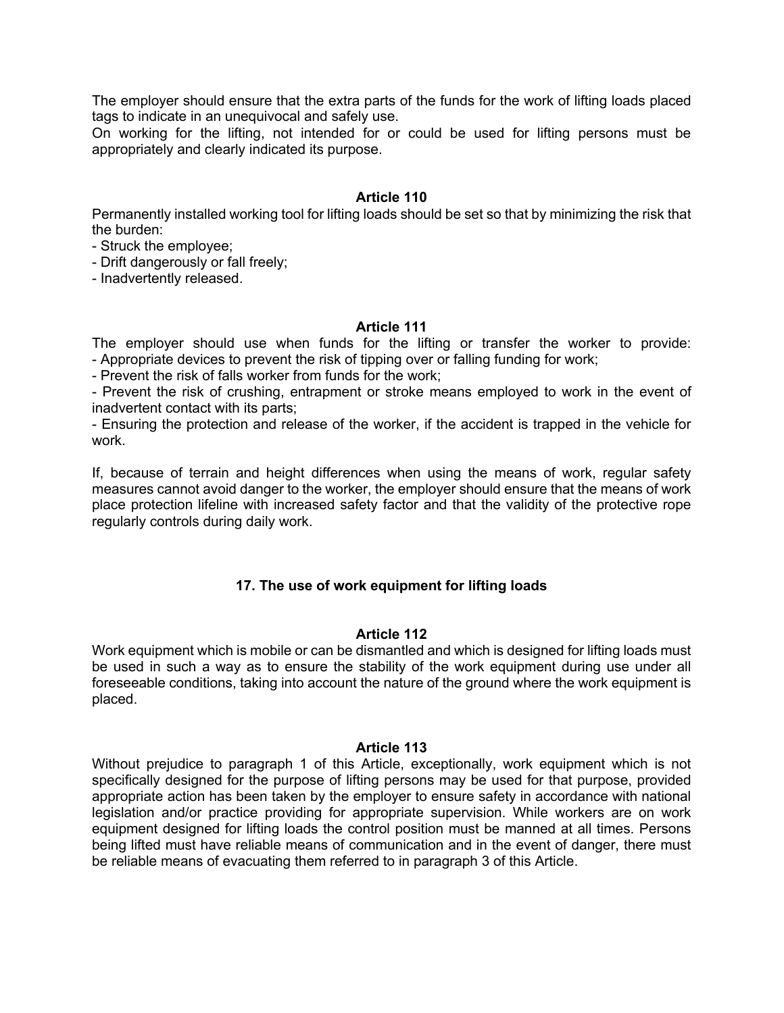The employer should ensure that the extra parts of the funds for the work of lifting loads placed tags to indicate in an unequivocal and safely use.

On working for the lifting, not intended for or could be used for lifting persons must be appropriately and clearly indicated its purpose.

## **Article 110**

Permanently installed working tool for lifting loads should be set so that by minimizing the risk that the burden:

- Struck the employee;

- Drift dangerously or fall freely;

- Inadvertently released.

#### **Article 111**

The employer should use when funds for the lifting or transfer the worker to provide: - Appropriate devices to prevent the risk of tipping over or falling funding for work;

- Prevent the risk of falls worker from funds for the work;

- Prevent the risk of crushing, entrapment or stroke means employed to work in the event of inadvertent contact with its parts;

- Ensuring the protection and release of the worker, if the accident is trapped in the vehicle for work.

If, because of terrain and height differences when using the means of work, regular safety measures cannot avoid danger to the worker, the employer should ensure that the means of work place protection lifeline with increased safety factor and that the validity of the protective rope regularly controls during daily work.

## **17. The use of work equipment for lifting loads**

## **Article 112**

Work equipment which is mobile or can be dismantled and which is designed for lifting loads must be used in such a way as to ensure the stability of the work equipment during use under all foreseeable conditions, taking into account the nature of the ground where the work equipment is placed.

#### **Article 113**

Without prejudice to paragraph 1 of this Article, exceptionally, work equipment which is not specifically designed for the purpose of lifting persons may be used for that purpose, provided appropriate action has been taken by the employer to ensure safety in accordance with national legislation and/or practice providing for appropriate supervision. While workers are on work equipment designed for lifting loads the control position must be manned at all times. Persons being lifted must have reliable means of communication and in the event of danger, there must be reliable means of evacuating them referred to in paragraph 3 of this Article.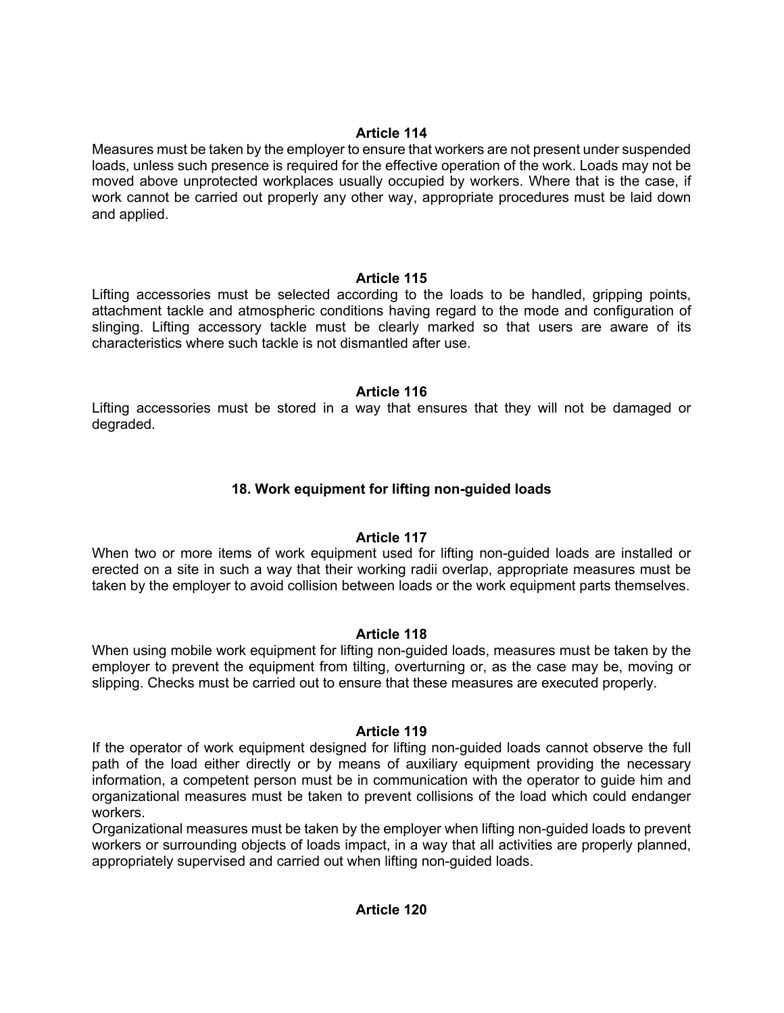Measures must be taken by the employer to ensure that workers are not present under suspended loads, unless such presence is required for the effective operation of the work. Loads may not be moved above unprotected workplaces usually occupied by workers. Where that is the case, if work cannot be carried out properly any other way, appropriate procedures must be laid down and applied.

# **Article 115**

Lifting accessories must be selected according to the loads to be handled, gripping points, attachment tackle and atmospheric conditions having regard to the mode and configuration of slinging. Lifting accessory tackle must be clearly marked so that users are aware of its characteristics where such tackle is not dismantled after use.

# **Article 116**

Lifting accessories must be stored in a way that ensures that they will not be damaged or degraded.

# **18. Work equipment for lifting non-guided loads**

# **Article 117**

When two or more items of work equipment used for lifting non-guided loads are installed or erected on a site in such a way that their working radii overlap, appropriate measures must be taken by the employer to avoid collision between loads or the work equipment parts themselves.

# **Article 118**

When using mobile work equipment for lifting non-guided loads, measures must be taken by the employer to prevent the equipment from tilting, overturning or, as the case may be, moving or slipping. Checks must be carried out to ensure that these measures are executed properly.

# **Article 119**

If the operator of work equipment designed for lifting non-guided loads cannot observe the full path of the load either directly or by means of auxiliary equipment providing the necessary information, a competent person must be in communication with the operator to guide him and organizational measures must be taken to prevent collisions of the load which could endanger workers.

Organizational measures must be taken by the employer when lifting non-guided loads to prevent workers or surrounding objects of loads impact, in a way that all activities are properly planned, appropriately supervised and carried out when lifting non-guided loads.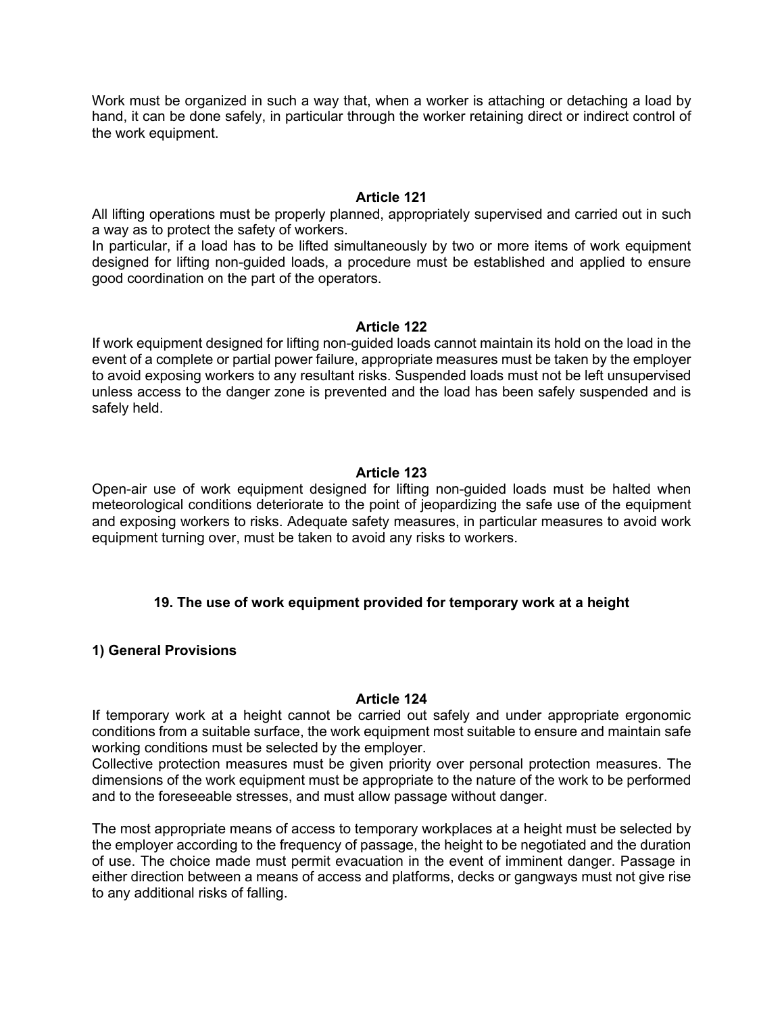Work must be organized in such a way that, when a worker is attaching or detaching a load by hand, it can be done safely, in particular through the worker retaining direct or indirect control of the work equipment.

## **Article 121**

All lifting operations must be properly planned, appropriately supervised and carried out in such a way as to protect the safety of workers.

In particular, if a load has to be lifted simultaneously by two or more items of work equipment designed for lifting non-guided loads, a procedure must be established and applied to ensure good coordination on the part of the operators.

## **Article 122**

If work equipment designed for lifting non-guided loads cannot maintain its hold on the load in the event of a complete or partial power failure, appropriate measures must be taken by the employer to avoid exposing workers to any resultant risks. Suspended loads must not be left unsupervised unless access to the danger zone is prevented and the load has been safely suspended and is safely held.

# **Article 123**

Open-air use of work equipment designed for lifting non-guided loads must be halted when meteorological conditions deteriorate to the point of jeopardizing the safe use of the equipment and exposing workers to risks. Adequate safety measures, in particular measures to avoid work equipment turning over, must be taken to avoid any risks to workers.

# **19. The use of work equipment provided for temporary work at a height**

# **1) General Provisions**

## **Article 124**

If temporary work at a height cannot be carried out safely and under appropriate ergonomic conditions from a suitable surface, the work equipment most suitable to ensure and maintain safe working conditions must be selected by the employer.

Collective protection measures must be given priority over personal protection measures. The dimensions of the work equipment must be appropriate to the nature of the work to be performed and to the foreseeable stresses, and must allow passage without danger.

The most appropriate means of access to temporary workplaces at a height must be selected by the employer according to the frequency of passage, the height to be negotiated and the duration of use. The choice made must permit evacuation in the event of imminent danger. Passage in either direction between a means of access and platforms, decks or gangways must not give rise to any additional risks of falling.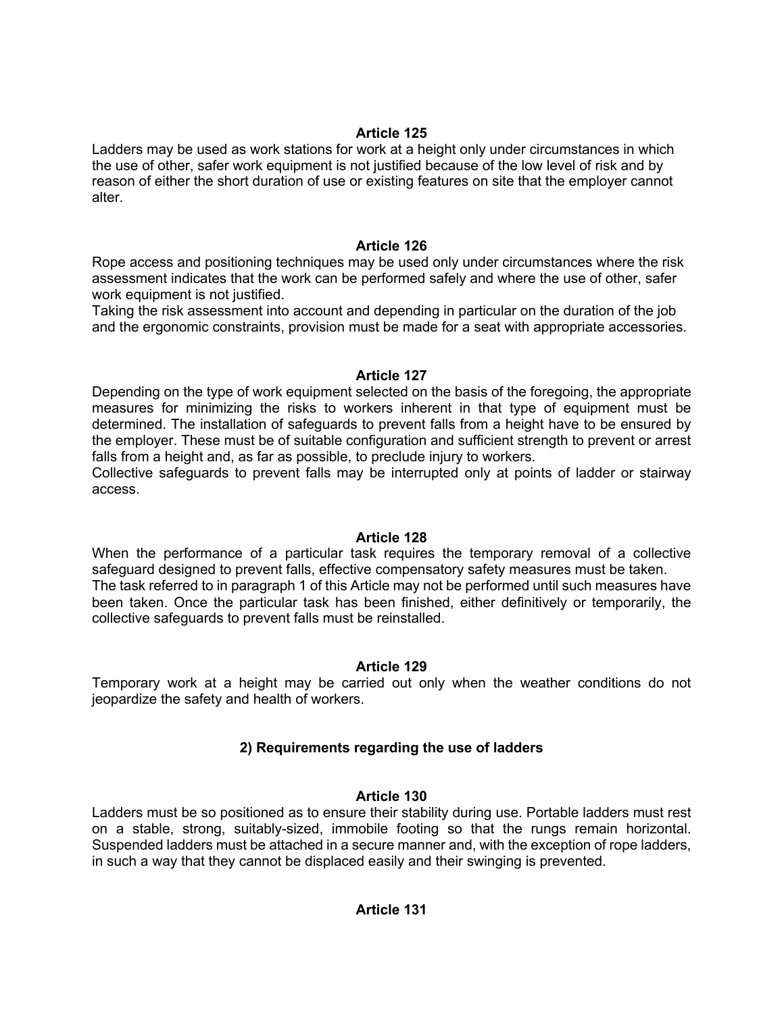Ladders may be used as work stations for work at a height only under circumstances in which the use of other, safer work equipment is not justified because of the low level of risk and by reason of either the short duration of use or existing features on site that the employer cannot alter.

## **Article 126**

Rope access and positioning techniques may be used only under circumstances where the risk assessment indicates that the work can be performed safely and where the use of other, safer work equipment is not justified.

Taking the risk assessment into account and depending in particular on the duration of the job and the ergonomic constraints, provision must be made for a seat with appropriate accessories.

## **Article 127**

Depending on the type of work equipment selected on the basis of the foregoing, the appropriate measures for minimizing the risks to workers inherent in that type of equipment must be determined. The installation of safeguards to prevent falls from a height have to be ensured by the employer. These must be of suitable configuration and sufficient strength to prevent or arrest falls from a height and, as far as possible, to preclude injury to workers.

Collective safeguards to prevent falls may be interrupted only at points of ladder or stairway access.

## **Article 128**

When the performance of a particular task requires the temporary removal of a collective safeguard designed to prevent falls, effective compensatory safety measures must be taken. The task referred to in paragraph 1 of this Article may not be performed until such measures have been taken. Once the particular task has been finished, either definitively or temporarily, the collective safeguards to prevent falls must be reinstalled.

# **Article 129**

Temporary work at a height may be carried out only when the weather conditions do not jeopardize the safety and health of workers.

# **2) Requirements regarding the use of ladders**

# **Article 130**

Ladders must be so positioned as to ensure their stability during use. Portable ladders must rest on a stable, strong, suitably-sized, immobile footing so that the rungs remain horizontal. Suspended ladders must be attached in a secure manner and, with the exception of rope ladders, in such a way that they cannot be displaced easily and their swinging is prevented.

# **Article 131**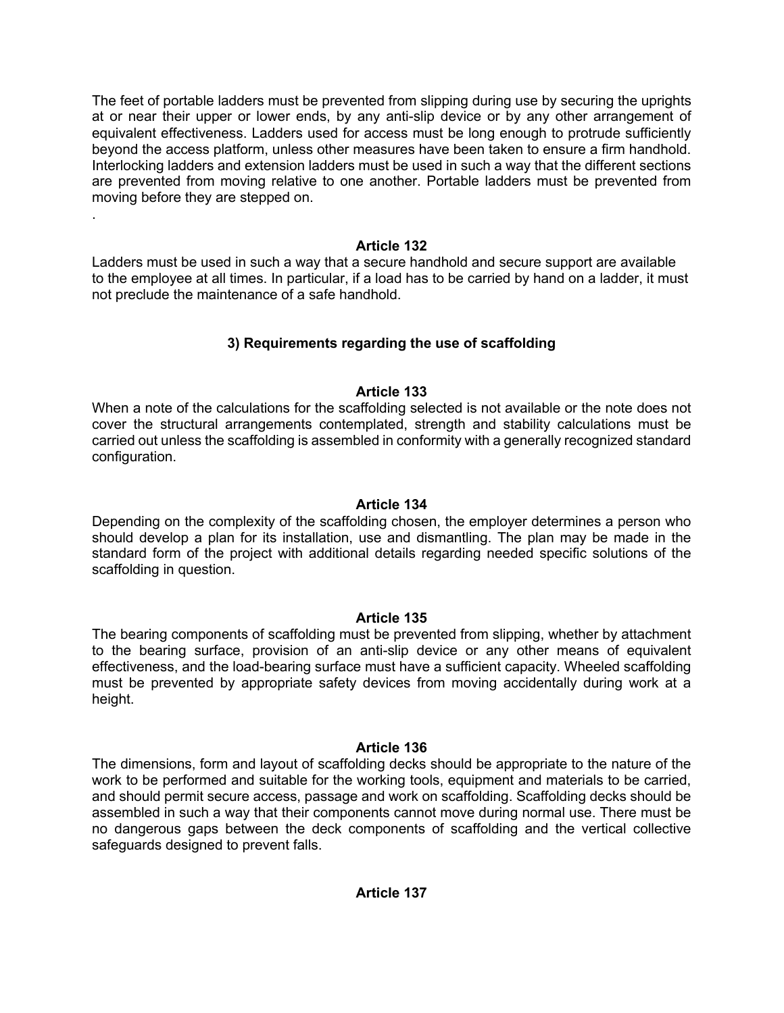The feet of portable ladders must be prevented from slipping during use by securing the uprights at or near their upper or lower ends, by any anti-slip device or by any other arrangement of equivalent effectiveness. Ladders used for access must be long enough to protrude sufficiently beyond the access platform, unless other measures have been taken to ensure a firm handhold. Interlocking ladders and extension ladders must be used in such a way that the different sections are prevented from moving relative to one another. Portable ladders must be prevented from moving before they are stepped on.

## **Article 132**

.

Ladders must be used in such a way that a secure handhold and secure support are available to the employee at all times. In particular, if a load has to be carried by hand on a ladder, it must not preclude the maintenance of a safe handhold.

# **3) Requirements regarding the use of scaffolding**

## **Article 133**

When a note of the calculations for the scaffolding selected is not available or the note does not cover the structural arrangements contemplated, strength and stability calculations must be carried out unless the scaffolding is assembled in conformity with a generally recognized standard configuration.

## **Article 134**

Depending on the complexity of the scaffolding chosen, the employer determines a person who should develop a plan for its installation, use and dismantling. The plan may be made in the standard form of the project with additional details regarding needed specific solutions of the scaffolding in question.

# **Article 135**

The bearing components of scaffolding must be prevented from slipping, whether by attachment to the bearing surface, provision of an anti-slip device or any other means of equivalent effectiveness, and the load-bearing surface must have a sufficient capacity. Wheeled scaffolding must be prevented by appropriate safety devices from moving accidentally during work at a height.

## **Article 136**

The dimensions, form and layout of scaffolding decks should be appropriate to the nature of the work to be performed and suitable for the working tools, equipment and materials to be carried, and should permit secure access, passage and work on scaffolding. Scaffolding decks should be assembled in such a way that their components cannot move during normal use. There must be no dangerous gaps between the deck components of scaffolding and the vertical collective safeguards designed to prevent falls.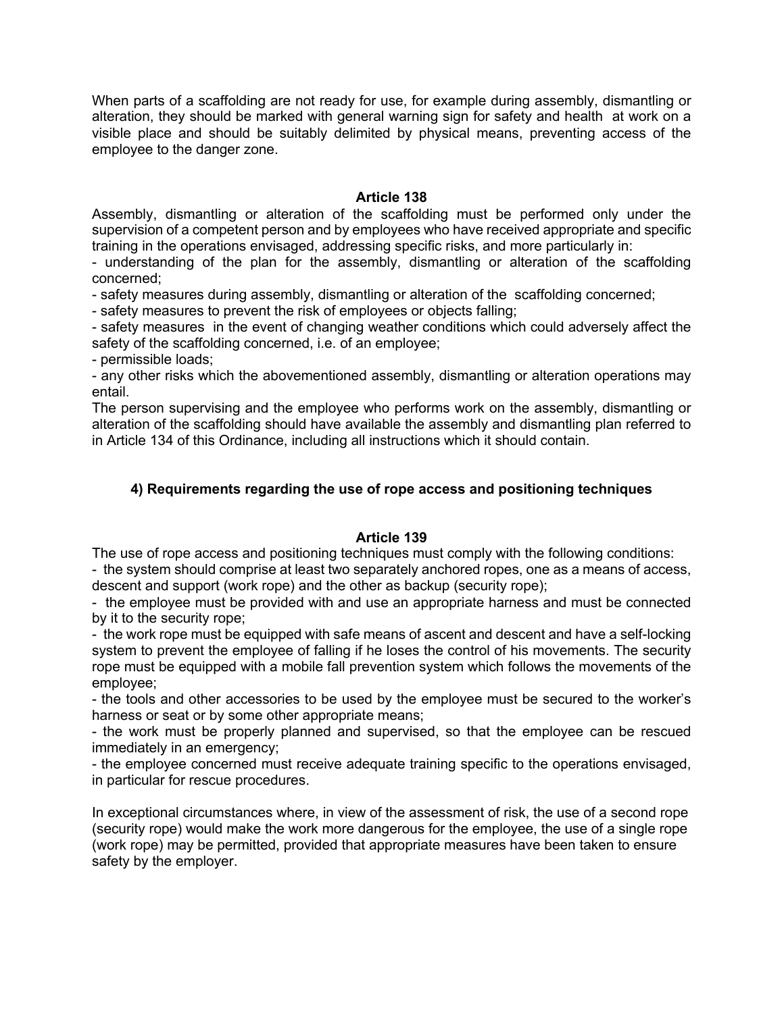When parts of a scaffolding are not ready for use, for example during assembly, dismantling or alteration, they should be marked with general warning sign for safety and health at work on a visible place and should be suitably delimited by physical means, preventing access of the employee to the danger zone.

## **Article 138**

Assembly, dismantling or alteration of the scaffolding must be performed only under the supervision of a competent person and by employees who have received appropriate and specific training in the operations envisaged, addressing specific risks, and more particularly in:

- understanding of the plan for the assembly, dismantling or alteration of the scaffolding concerned;

- safety measures during assembly, dismantling or alteration of the scaffolding concerned;

- safety measures to prevent the risk of employees or objects falling;

- safety measures in the event of changing weather conditions which could adversely affect the safety of the scaffolding concerned, i.e. of an employee;

- permissible loads;

- any other risks which the abovementioned assembly, dismantling or alteration operations may entail.

The person supervising and the employee who performs work on the assembly, dismantling or alteration of the scaffolding should have available the assembly and dismantling plan referred to in Article 134 of this Ordinance, including all instructions which it should contain.

# **4) Requirements regarding the use of rope access and positioning techniques**

## **Article 139**

The use of rope access and positioning techniques must comply with the following conditions:

- the system should comprise at least two separately anchored ropes, one as a means of access, descent and support (work rope) and the other as backup (security rope);

- the employee must be provided with and use an appropriate harness and must be connected by it to the security rope;

- the work rope must be equipped with safe means of ascent and descent and have a self-locking system to prevent the employee of falling if he loses the control of his movements. The security rope must be equipped with a mobile fall prevention system which follows the movements of the employee;

- the tools and other accessories to be used by the employee must be secured to the worker's harness or seat or by some other appropriate means;

- the work must be properly planned and supervised, so that the employee can be rescued immediately in an emergency;

- the employee concerned must receive adequate training specific to the operations envisaged, in particular for rescue procedures.

In exceptional circumstances where, in view of the assessment of risk, the use of a second rope (security rope) would make the work more dangerous for the employee, the use of a single rope (work rope) may be permitted, provided that appropriate measures have been taken to ensure safety by the employer.